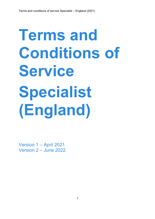# **Terms and Conditions of Service Specialist (England)**

Version 1 – April 2021 Version 2 – June 2022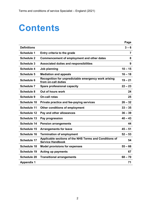# **Contents**

|                    |                                                                                   | Page      |
|--------------------|-----------------------------------------------------------------------------------|-----------|
| <b>Definitions</b> |                                                                                   | $3 - 6$   |
| <b>Schedule 1</b>  | Entry criteria to the grade                                                       | 7         |
| <b>Schedule 2</b>  | Commencement of employment and other dates                                        | 8         |
| <b>Schedule 3</b>  | <b>Associated duties and responsibilities</b>                                     | 9         |
| <b>Schedule 4</b>  | Job planning                                                                      | $10 - 15$ |
| <b>Schedule 5</b>  | <b>Mediation and appeals</b>                                                      | $16 - 18$ |
| <b>Schedule 6</b>  | Recognition for unpredictable emergency work arising<br>from on-call duties       | $19 - 21$ |
| <b>Schedule 7</b>  | Spare professional capacity                                                       | $22 - 23$ |
| <b>Schedule 8</b>  | Out of hours work                                                                 | 24        |
| <b>Schedule 9</b>  | <b>On-call rotas</b>                                                              | 25        |
| <b>Schedule 10</b> | Private practice and fee-paying services                                          | $26 - 32$ |
| <b>Schedule 11</b> | Other conditions of employment                                                    | $33 - 35$ |
| <b>Schedule 12</b> | Pay and other allowances                                                          | $36 - 39$ |
| <b>Schedule 13</b> | Pay progression                                                                   | $40 - 43$ |
| <b>Schedule 14</b> | <b>Pension arrangements</b>                                                       | 44        |
| <b>Schedule 15</b> | <b>Arrangements for leave</b>                                                     | $45 - 51$ |
| <b>Schedule 16</b> | <b>Termination of employment</b>                                                  | $52 - 53$ |
| <b>Schedule 17</b> | Applicable sections of the NHS Terms and Conditions of<br><b>Service Handbook</b> | 54        |
| <b>Schedule 18</b> | <b>Model provisions for expenses</b>                                              | $55 - 66$ |
| <b>Schedule 19</b> | <b>Acting up payments</b>                                                         | 67        |
| <b>Schedule 20</b> | <b>Transitional arrangements</b>                                                  | $68 - 70$ |
| <b>Appendix 1</b>  |                                                                                   | 71        |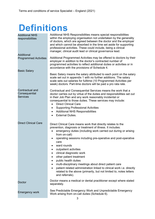# **Definitions**

| <b>Additional NHS</b><br>responsibilities           | Additional NHS Responsibilities means special responsibilities<br>within the employing organisation not undertaken by the generality<br>of doctors, which are agreed between the doctor and the employer<br>and which cannot be absorbed in the time set aside for supporting<br>professional activities. These could include, being a clinical<br>manager, clinical audit lead or clinical governance lead.                                                                                                                                                                                                                             |
|-----------------------------------------------------|------------------------------------------------------------------------------------------------------------------------------------------------------------------------------------------------------------------------------------------------------------------------------------------------------------------------------------------------------------------------------------------------------------------------------------------------------------------------------------------------------------------------------------------------------------------------------------------------------------------------------------------|
| <b>Additional</b><br><b>Programmed Activities</b>   | Additional Programmed Activities may be offered to doctors by their<br>employer in addition to the doctor's contracted number of<br>programmed activities to reflect additional duties or activities or in<br>accordance with the provisions of Schedule 4.                                                                                                                                                                                                                                                                                                                                                                              |
| <b>Basic Salary</b>                                 | Basic Salary means the salary attributed to each point on the salary<br>scale set out in appendix 1 with no further additions. The salary<br>scale sets out salaries for fulltime (10 Programmed Activities per<br>week) doctors. Part-time doctors will be paid a pro rata rate.                                                                                                                                                                                                                                                                                                                                                        |
| Contractual and<br>Consequential<br><b>Services</b> | Contractual and Consequential Services means the work that a<br>doctor carries out by virtue of the duties and responsibilities set out<br>in their Job Plan and any work reasonably incidental or<br>consequential to those duties. These services may include:<br><b>Direct Clinical Care</b><br><b>Supporting Professional Activities</b><br>$\bullet$<br><b>Additional NHS Responsibilities</b><br><b>External Duties.</b>                                                                                                                                                                                                           |
| <b>Direct Clinical Care</b>                         | Direct Clinical Care means work that directly relates to the<br>prevention, diagnosis or treatment of illness. It includes:<br>emergency duties (including work carried out during or arising<br>from on-call)<br>operating sessions including pre-operative and post-operative<br>care<br>ward rounds<br>outpatient activities<br>clinical diagnostic work<br>other patient treatment<br>public health duties<br>multi-disciplinary meetings about direct patient care<br>patient related administration linked to clinical work i.e. directly<br>related to the above (primarily, but not limited to, notes letters<br>and referrals). |
| Doctor                                              | Doctor means a medical or dental practitioner except where stated<br>separately.                                                                                                                                                                                                                                                                                                                                                                                                                                                                                                                                                         |
| <b>Emergency work</b>                               | See Predictable Emergency Work and Unpredictable Emergency<br>Work arising from on-call duties (Schedule 6).                                                                                                                                                                                                                                                                                                                                                                                                                                                                                                                             |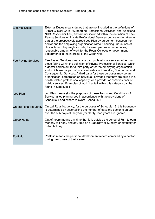| <b>External Duties</b>     | External Duties means duties that are not included in the definitions of<br>'Direct Clinical Care', 'Supporting Professional Activities' and 'Additional<br>NHS Responsibilities', and are not included within the definition of Fee-<br>Paying Services or Private Professional Services but are undertaken as<br>part of the prospectively agreed Job Plan by agreement between the<br>doctor and the employing organisation without causing undue loss of<br>clinical time. They might include, for example, trade union duties,<br>reasonable amount of work for the Royal Colleges or government<br>departments in the interests of the wider NHS. |
|----------------------------|---------------------------------------------------------------------------------------------------------------------------------------------------------------------------------------------------------------------------------------------------------------------------------------------------------------------------------------------------------------------------------------------------------------------------------------------------------------------------------------------------------------------------------------------------------------------------------------------------------------------------------------------------------|
| <b>Fee Paying Services</b> | Fee Paying Services means any paid professional services, other than<br>those falling within the definition of Private Professional Services, which<br>a doctor carries out for a third party or for the employing organisation<br>and which are not part of, nor reasonably incidental to, Contractual and<br>Consequential Services. A third party for these purposes may be an<br>organisation, corporation or individual, provided that they are acting in a<br>health related professional capacity, or a provider or commissioner of<br>public services. Examples of work that fall within this category can be<br>found in Schedule 11.          |
| <b>Job Plan</b>            | Job Plan means (for the purposes of these Terms and Conditions of<br>Service) a job plan agreed in accordance with the provisions of<br>Schedule 4 and, where relevant, Schedule 5.                                                                                                                                                                                                                                                                                                                                                                                                                                                                     |
| On-call Rota frequency     | On-call Rota frequency, for the purposes of Schedule 12, this frequency<br>is determined by ascertaining the number of days the doctor is on-call<br>over the 365 days of the year (for clarity, leap years are ignored).                                                                                                                                                                                                                                                                                                                                                                                                                               |
| Out of hours               | Out of hours means any time that falls outside the period of 7am to 9pm<br>Monday to Friday and any time on a Saturday or Sunday, or statutory or<br>public holiday.                                                                                                                                                                                                                                                                                                                                                                                                                                                                                    |
| Portfolio                  | Portfolio means the personal development record compiled by a doctor<br>during the course of their career.                                                                                                                                                                                                                                                                                                                                                                                                                                                                                                                                              |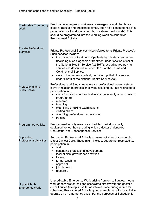| <b>Predictable Emergency</b><br>Work           | Predictable emergency work means emergency work that takes<br>place at regular and predictable times, often as a consequence of a<br>period of on-call work (for example, post-take ward rounds). This<br>should be programmed into the Working week as scheduled<br>Programmed Activity.                                                                                                                                                                                                                                  |
|------------------------------------------------|----------------------------------------------------------------------------------------------------------------------------------------------------------------------------------------------------------------------------------------------------------------------------------------------------------------------------------------------------------------------------------------------------------------------------------------------------------------------------------------------------------------------------|
| <b>Private Professional</b><br><b>Services</b> | Private Professional Services (also referred to as Private Practice).<br>Such services include:<br>the diagnosis or treatment of patients by private arrangement<br>(including such diagnosis or treatment under section 65(2) of<br>the National Health Service Act 1977), excluding fee-paying<br>services as described in Schedule 10 of the Terms and<br><b>Conditions of Service.</b><br>work in the general medical, dental or ophthalmic services<br>$\bullet$<br>under Part II of the National Health Service Act. |
| <b>Professional and</b><br><b>Study Leave</b>  | Professional and Study Leave means professional leave or study<br>leave in relation to professional work including, but not restricted to,<br>participation in:<br>study (usually but not exclusively or necessarily on a course or<br>programme)<br>research<br>$\bullet$<br>teaching<br>$\bullet$<br>examining or taking examinations<br>$\bullet$<br>visiting clinics<br>$\bullet$<br>attending professional conferences<br>$\bullet$<br>training.<br>٠                                                                 |
| <b>Programmed Activity</b>                     | Programmed activity means a scheduled period, normally<br>equivalent to four hours, during which a doctor undertakes<br><b>Contractual and Consequential Services.</b>                                                                                                                                                                                                                                                                                                                                                     |
| Supporting<br><b>Professional Activities</b>   | Supporting Professional Activities means activities that underpin<br>Direct Clinical Care. These might include, but are not restricted to,<br>participation in:<br>audit<br>$\bullet$<br>continuing professional development<br>٠<br>local clinical governance activities<br>$\bullet$<br>training<br>٠<br>formal teaching<br>$\bullet$<br>appraisal<br>٠<br>job planning<br>٠<br>research.                                                                                                                                |
| Unpredictable<br><b>Emergency Work</b>         | Unpredictable Emergency Work arising from on-call duties, means<br>work done whilst on-call and associated directly with the doctor's<br>on-call duties (except in so far as it takes place during a time for<br>scheduled Programmed Activities), for example, recall to hospital to<br>operate on an emergency basis. For the purposes of Schedule 4,                                                                                                                                                                    |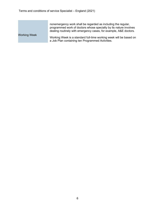Working Week

nonemergency work shall be regarded as including the regular, programmed work of doctors whose specialty by its nature involves dealing routinely with emergency cases, for example, A&E doctors.

Working Week is a standard full-time working week will be based on a Job Plan containing ten Programmed Activities.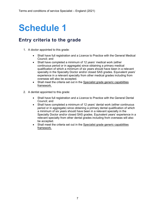### **Entry criteria to the grade**

- 1. A doctor appointed to this grade:
	- Shall have full registration and a Licence to Practice with the General Medical Council; and
	- Shall have completed a minimum of 12 years' medical work (either continuous period or in aggregate) since obtaining a primary medical qualification of which a minimum of six years should have been in a relevant specialty in the Specialty Doctor and/or closed SAS grades. Equivalent years' experience in a relevant specialty from other medical grades including from overseas will also be accepted.
	- Shall meet the criteria set out in the [Specialist grade generic capabilities](https://www.nhsemployers.org/-/media/Employers/Publications/SAS-Paper-2--Specialist-Grade--Generic-Capabilities-Framework-010221.pdf?la=en&hash=DBA9808D91D89179598B43090A49CB67766EC9DF) [framework.](https://www.nhsemployers.org/-/media/Employers/Publications/SAS-Paper-2--Specialist-Grade--Generic-Capabilities-Framework-010221.pdf?la=en&hash=DBA9808D91D89179598B43090A49CB67766EC9DF)
- 2. A dentist appointed to this grade:
	- Shall have full registration and a Licence to Practice with the General Dental Council; and
	- Shall have completed a minimum of 12 years' dental work (either continuous period or in aggregate) since obtaining a primary dental qualification of which a minimum of six years should have been in a relevant specialty in the Specialty Doctor and/or closed SAS grades. Equivalent years' experience in a relevant specialty from other dental grades including from overseas will also be accepted.
	- Shall meet the criteria set out in the [Specialist grade generic capabilities](https://www.nhsemployers.org/-/media/Employers/Publications/SAS-Paper-2--Specialist-Grade--Generic-Capabilities-Framework-010221.pdf?la=en&hash=DBA9808D91D89179598B43090A49CB67766EC9DF) [framework.](https://www.nhsemployers.org/-/media/Employers/Publications/SAS-Paper-2--Specialist-Grade--Generic-Capabilities-Framework-010221.pdf?la=en&hash=DBA9808D91D89179598B43090A49CB67766EC9DF)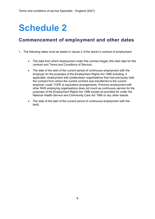### **Commencement of employment and other dates**

- 1. The following dates must be stated in clause 2 of the doctor's contract of employment:
	- The date from which employment under this contract began (the start date for this contract and Terms and Conditions of Service).
	- The date of the start of the current period of continuous employment with the employer for the purposes of the Employment Rights Act 1996 including, if applicable, employment with predecessor organisations that had previously held the contract from whom the current contract was transferred to the current employer under TUPE or equivalent arrangements. Previous employment with other NHS employing organisations does not count as continuous service for the purposes of the Employment Rights Act 1996 except as provided for under the National Health Service and Community Care Act 1990 or any other statute.
	- The date of the start of the current period of continuous employment with the NHS.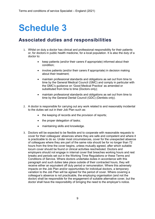### **Associated duties and responsibilities**

- 1. Whilst on duty a doctor has clinical and professional responsibility for their patients or, for doctors in public health medicine, for a local population. It is also the duty of a doctor to:
	- keep patients (and/or their carers if appropriate) informed about their condition;
	- involve patients (and/or their carers if appropriate) in decision making about their treatment;
	- maintain professional standards and obligations as set out from time to time by the General Medical Council (GMC) and comply in particular with the GMC's guidance on 'Good Medical Practice' as amended or substituted from time to time (Doctors only);
	- maintain professional standards and obligations as set out from time to time by the General Dental Council (GDC) (Dentists only).
- 2. A doctor is responsible for carrying out any work related to and reasonably incidental to the duties set out in their Job Plan such as:
	- the keeping of records and the provision of reports;
	- the proper delegation of tasks;
	- maintaining skills and knowledge.
- 3. Doctors will be expected to be flexible and to cooperate with reasonable requests to cover for their colleagues' absences where they are safe and competent and where it is practicable to do so. Under most circumstances, cover for the unexpected absence of colleagues where they are part of the same rota should be for no longer than 72 hours from the time the cover begins, unless mutually agreed, after which suitable locum cover should be found or clinical activities rescheduled. Doctors and employers should not engage in internal cover that breaches working hours and rest breaks and periods set out in the Working Time Regulations or these Terms and Conditions of Service. Where doctors undertake duties in accordance with this paragraph and such duties take place outside of their contracted hours, they will receive either an equivalent off duty period or remuneration. Where this adversely impacts on the Job Plan and/or opportunities for individual doctors, a temporary variation to the Job Plan will be agreed for the period of cover. Where covering a colleague's absence is not practicable, the employing organisation (and not the doctor) shall be responsible for the engagement of suitable alternative cover, but the doctor shall have the responsibility of bringing the need to the employer's notice.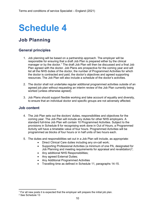### **Job Planning**

#### **General principles**

- 1. Job planning will be based on a partnership approach. The employer will be responsible for ensuring that a draft Job Plan is prepared either by the clinical manager or by the doctor.<sup>1</sup> The draft Job Plan will then be discussed and a final Job Plan agreed with the doctor. Job Plans are prospective for the coming year and will list all the NHS duties of the doctor, the number of Programmed Activities for which the doctor is contracted and paid, the doctor's objectives and agreed supporting resources. The Job Plan will also include a schedule of the doctor's activities.
- 2. The doctor shall not undertake regular additional programmed activities outside of an agreed job plan without requesting an interim review of the Job Plan currently being worked (unless otherwise agreed).
- 3. Job Plans should support flexible working and take account of equality and diversity, to ensure that an individual doctor and specific groups are not adversely affected.

#### **Job content**

- 4. The Job Plan sets out the doctors' duties, responsibilities and objectives for the coming year. The Job Plan will include any duties for other NHS employers. A standard full-time Job Plan will contain 10 Programmed Activities. Subject to the provisions in Schedule 8 for recognising work done in Out of Hours, a Programmed Activity will have a timetable value of four hours. Programmed Activities will be programmed as blocks of four hours or in half units of two hours each.
- 5. The duties and responsibilities set out in a Job Plan will include, as appropriate:
	- Direct Clinical Care duties including any on-call work;
	- Supporting Professional Activities (a minimum of one PA, designated for Job Planning and meeting requirements for appraisal and revalidation)<sup>[2](#page-9-1)</sup>;
	- Any additional NHS Responsibilities;
	- Any agreed External Duties;
	- Any Additional Programmed Activities
	- Travelling time as defined in Schedule 11, paragraphs 14-15.

<span id="page-9-0"></span> $1$  For all new posts it is expected that the employer will prepare the initial job plan.

<span id="page-9-1"></span><sup>2</sup> See Schedule 13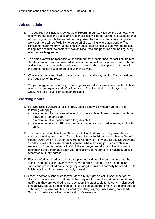#### **Job schedule**

- 6. The Job Plan will include a schedule of Programmed Activities setting out how, when and where the doctor's duties and responsibilities will be delivered. It is expected that all the Programmed Activities will normally take place at a doctor's principal place of work but there will be flexibility to agree off site working where appropriate. The clinical manager will draw up the final schedule after full discussion with the doctor, taking into account the doctor's views on resources and priorities and making every effort to reach agreement.
- 7. The employer will be responsible for ensuring that a doctor has the facilities, training development and support needed to deliver the commitments in the agreed Job Plan and will make all reasonable endeavours to ensure that this support conforms with the standards set out in 'Improving Working Lives'.
- 8. Where a doctor is required to participate in an on-call rota, the Job Plan will set out the frequency of the rota.
- 9. Subject to agreement via the job planning process, doctors may be expected to take part in non-emergency work after 9pm and before 7am during weekdays or at weekends, or on public or statutory holidays.

#### **Working hours**

- 10. For Specialists working a full shift rota, unless otherwise mutually agreed, the following will apply:
	- a maximum of four consecutive nights, where at least three hours each night fall between 11pm and 6am;
	- a maximum of four consecutive long day shifts;<br>- a minimum period of 46 hours before and after t
	- a minimum period of 46 hours before and after transition between day and night shifts.
- 11. The majority (i.e. no less than 60 per cent) of work should normally take place in standard working hours being 7am to 9pm Monday to Friday, rather than in Out of Hours (OOH) which is 9:01pm to 6:59am Monday to Friday and all day Saturday and Sunday, unless otherwise mutually agreed. Where existing job plans contain in excess of 40 per cent of work in OOH, the employer and doctor will work towards decreasing the percentage each year until a limit of 40 per cent is reached, unless otherwise mutually agreed.
- 12. Elective Work (defined as patient care planned and timed to suit patients and the service and booked in advance whatever the clinical setting, such as outpatient clinics and pre-booked non-emergency surgery) should not normally be scheduled to finish later than 9pm, unless mutually agreed.
- 13. When a doctor is scheduled to work after a busy night on-call, it should be for the doctor to declare, with no detriment, that they are too tired to work. A doctor should notify that they are too tired to work as soon it is practicable to do so. Any displaced time/activity should be rescheduled to take place at another time in a doctor's agreed Job Plan, or, where possible, covered by colleagues, or, if necessary, cancelled. Such circumstances will not affect a doctor's earnings.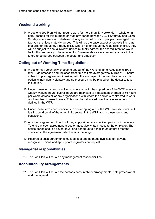#### **Weekend working**

14. A doctor's Job Plan will not require work for more than 13 weekends, in whole or in part, (defined for this purpose only as any period between 00.01 Saturday and 23.59 Sunday where work is undertaken during an on call or shift), per year, averaged over two years, unless mutually agreed. This will be the case except where existing rotas of a greater frequency already exist. Where higher frequency rotas already exist, they will be subject to annual review; unless mutually agreed, the shared intention would be for this frequency to be reduced to 13 weekends as a maximum by a date in the future to be agreed between the doctor and employer.

#### **Opting out of Working Time Regulations**

- 15. A doctor may voluntarily choose to opt out of the Working Time Regulations 1998 (WTR) as amended and replaced from time to time average weekly limit of 48 hours, subject to prior agreement in writing with the employer. A decision to exercise this option is individual, voluntary and no pressure may be placed on the doctor to take this option.
- 16. Under these terms and conditions, where a doctor has opted out of the WTR average weekly working hours, overall hours are restricted to a maximum average of 56 hours per week, across all or any organisations with whom the doctor is contracted to work or otherwise chooses to work. This must be calculated over the reference period defined in the WTR.
- 17. Under these terms and conditions, a doctor opting out of the WTR weekly hours limit is still bound by all of the other limits set out in the WTR and in these terms and conditions.
- 18. A doctor's agreement to opt out may apply either to a specified period or indefinitely. To end any such agreement, a doctor must give written notice to the employer. The notice period shall be seven days, or a period up to a maximum of three months specified in the agreement, whichever is the longer.
- 19. Records of such agreements must be kept and be made available to relevant recognised unions and appropriate regulators on request.

#### **Managerial responsibilities**

20. The Job Plan will set out any management responsibilities.

#### **Accountability arrangements**

21. The Job Plan will set out the doctor's accountability arrangements, both professional and managerial.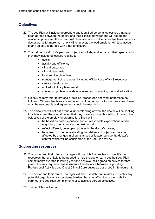#### **Objectives**

- 22. The Job Plan will include appropriate and identified personal objectives that have been agreed between the doctor and their clinical manager and will set out the relationship between these personal objectives and local service objectives. Where a doctor works for more than one NHS employer, the lead employer will take account of any objectives agreed with other employers.
- 23. The nature of a doctor's personal objectives will depend in part on their specialty, but they may include objectives relating to:
	- quality
	- activity and efficiency
	- clinical outcomes
	- clinical standards
	- local service objectives
	- management of resources, including efficient use of NHS resources
	- service development
	- multi-disciplinary team working
	- continuing professional development and continuing medical education.
- 24. Objectives may refer to protocols, policies, procedures and work patterns to be followed. Where objectives are set in terms of output and outcome measures, these must be reasonable and agreement should be reached.
- 25. The objectives will set out a mutual understanding of what the doctor will be seeking to achieve over the annual period that they cover and how this will contribute to the objectives of the employing organisation. They will:
	- be based on past experience and on reasonable expectations of what might be achievable over the next period;
	- reflect different, developing phases in the doctor's career;
	- be agreed on the understanding that delivery of objectives may be affected by changes in circumstances or factors outside the doctor's control, which will be considered at the Job Plan review.

#### **Supporting resources**

- 26. The doctor and their clinical manager will use Job Plan reviews to identify the resources that are likely to be needed to help the doctor carry out their Job Plan commitments over the following year and achieve their agreed objectives for that year. This may require a reassessment of the balance between Supporting Professional Activities and Direct Clinical Care duties as described in Schedule 13.
- 27. The doctor and their clinical manager will also use Job Plan reviews to identify any potential organisational or systems barriers that may affect the doctor's ability to carry out the Job Plan commitments or to achieve agreed objectives.
- 28. The Job Plan will set out: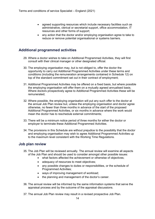- agreed supporting resources which include necessary facilities such as administrative, clerical or secretarial support, office accommodation, IT resources and other forms of support;
- any action that the doctor and/or employing organisation agree to take to reduce or remove potential organisational or systems barriers.

#### **Additional programmed activities**

- 29. Where a doctor wishes to take on Additional Programmed Activities, they will first consult with their clinical manager or other designated official.
- 30. The employing organisation may, but is not obliged to, offer the doctor the opportunity to carry out Additional Programmed Activities under these terms and conditions (including the remuneration arrangements contained in Schedule 12) on top of the standard commitment set out in their contract of employment;
- 31. Additional Programmed Activities may be offered on a fixed basis, but where possible the employing organisation will offer them on a mutually agreed annualised basis. Where doctors prospectively agree to Additional Programmed Activities these will be remunerated;
- 32. Where possible, the employing organisation will put any such offer to the doctor at the annual Job Plan review but, unless the employing organisation and doctor agree otherwise, no fewer than three months in advance of the start of the proposed Additional Programmed Activities, or six months in advance where the work would mean the doctor has to reschedule external commitments;
- 33. There will be a minimum notice period of three months for either the doctor or employer to terminate these Additional Programmed Activities.
- 34. The provisions in this Schedule are without prejudice to the possibility that the doctor and employing organisation may wish to agree Additional Programmed Activities up to the maximum level consistent with the Working Time Regulations.

#### **Job plan review**

- 35. The Job Plan will be reviewed annually. The annual review will examine all aspects of the Job Plan and should be used to consider amongst other possible issues:
	- what factors affected the achievement or otherwise of objectives;
	- adequacy of resources to meet objectives;
	- any possible changes to duties or responsibilities, or the schedule of Programmed Activities;
	- ways of improving management of workload;
	- the planning and management of the doctor's career.
- 36. The annual review will be informed by the same information systems that serve the appraisal process and by the outcome of the appraisal discussions.
- 37. The annual Job Plan review may result in a revised prospective Job Plan.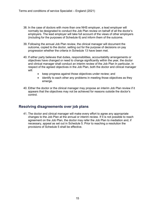- 38. In the case of doctors with more than one NHS employer, a lead employer will normally be designated to conduct the Job Plan review on behalf of all the doctor's employers. The lead employer will take full account of the views of other employers (including for the purposes of Schedule 6) and inform them of the outcome.
- 39. Following the annual Job Plan review, the clinical manager will document the outcome, copied to the doctor, setting out for the purpose of decisions on pay progression whether the criteria in Schedule 13 have been met.
- 40. If either party believes that duties, responsibilities, accountability arrangements or objectives have changed or need to change significantly within the year, the doctor and clinical manager shall conduct an interim review of the Job Plan In particular, in respect of the agreed objectives in the Job Plan, both the doctor and clinical manager will:
	- keep progress against those objectives under review; and
	- identify to each other any problems in meeting those objectives as they emerge.
- 40. Either the doctor or the clinical manager may propose an interim Job Plan review if it appears that the objectives may not be achieved for reasons outside the doctor's control.

#### **Resolving disagreements over job plans**

41. The doctor and clinical manager will make every effort to agree any appropriate changes to the Job Plan at the annual or interim review. If it is not possible to reach agreement on the Job Plan, the doctor may refer the Job Plan to mediation and, if necessary, appeal as set out in Schedule 5. Prior to reaching a resolution the provisions of Schedule 5 shall be effective.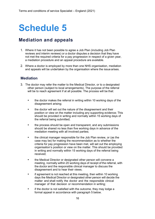### **Mediation and appeals**

- 1. Where it has not been possible to agree a Job Plan (including Job Plan reviews and interim reviews) or a doctor disputes a decision that they have not met the required criteria for a pay progression in respect of a given year, a mediation procedure and an appeal procedure are available.
- 2. Where a doctor is employed by more than one NHS organisation, mediation and appeals will be undertaken by the organisation where the issue arises.

#### **Mediation**

- 3. The doctor may refer the matter to the Medical Director, or to a designated other person (subject to local arrangements). The purpose of the referral will be to reach agreement if at all possible. The process will be that:
	- the doctor makes the referral in writing within 10 working days of the disagreement arising;
	- the doctor will set out the nature of the disagreement and their position or view on the matter including any supporting evidence; This should be provided in writing and normally within 15 working days of the referral being submitted;
	- the process should be open and transparent, and any submissions should be shared no less than five working days in advance of the mediation meeting with all involved parties;
	- the clinical manager responsible for the Job Plan review, or (as the case may be) for making the recommendation as to whether the criteria for pay progression have been met, will set out the employing organisation's position or view on the matter. This should be provided in writing and normally within 15 working days of the referral being received;
	- the Medical Director or designated other person will convene a meeting, normally within 20 working days of receipt of the referral, with the doctor and the responsible clinical manager to discuss the disagreement and to hear their views;
	- if agreement is not reached at this meeting, then within 10 working days the Medical Director or designated other person will decide the matter and shall notify the doctor and the responsible clinical manager of that decision or recommendation in writing;
	- if the doctor is not satisfied with the outcome, they may lodge a formal appeal in accordance with paragraph 5 below.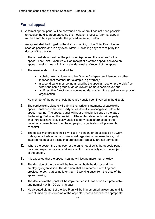#### **Formal appeal**

- 4. A formal appeal panel will be convened only where it has not been possible to resolve the disagreement using the mediation process. A formal appeal will be heard by a panel under the procedure set out below.
- 5. An appeal shall be lodged by the doctor in writing to the Chief Executive as soon as possible and in any event within 10 working days of receipt by the doctor of the decision.
- 6. The appeal should set out the points in dispute and the reasons for the appeal. The Chief Executive will, on receipt of a written appeal, convene an appeal panel to meet within six calendar weeks of receipt of the appeal.
- 7. The membership of the panel will be:
	- a chair, being a Non-executive Director/Independent Member, or other independent member (for example, a governor);
	- a second panel member nominated by the appellant doctor, preferably from within the same grade at an equivalent or more senior level; and
	- an Executive Director or a nominated deputy from the appellant's employing organisation.

No member of the panel should have previously been involved in the dispute.

- 8. The parties to the dispute will submit their written statements of case to the appeal panel and to the other party no less than five working days before the appeal hearing. The appeal panel will hear oral submissions on the day of the hearing. Following the provision of the written statements neither party shall introduce new (previously undisclosed) written information to the panel. A representative from the employing organisation will present its case first.
- 9. The doctor may present their own case in person, or be assisted by a work colleague or trade union or professional organisation representative, but legal representatives acting in a professional capacity are not permitted.
- 10. Where the doctor, the employer or the panel requires it, the appeals panel may hear expert advice on matters specific to a specialty or to the subject of the appeal.
- 11. It is expected that the appeal hearing will last no more than oneday.
- 12. The decision of the panel will be binding on both the doctor and the employing organisation. The decision shall be recorded in writing and provided to both parties no later than 15 working days from the date of the appealhearing.
- 13. The decision of the panel will be implemented in full as soon as is practicable and normally within 20 working days.
- 14. No disputed element of the Job Plan will be implemented unless and until it is confirmed by the outcome of the appeals process and where appropriate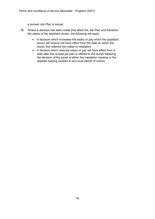a revised Job Plan is issued.

- 15. Where a decision has been made that alters the Job Plan and therefore the salary of the appellant doctor, the following will apply:
	- A decision which increases the salary or pay which the appellant doctor will receive will have effect from the date on which the doctor first referred the matter to mediation
	- A decision which reduces salary or pay will have effect from a date after the revised job plan is offered to the doctor following the decision of the panel at either the mediation meeting or the appeals hearing (subject to any local period of notice).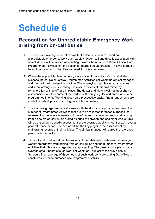### **Recognition for Unpredictable Emergency Work arising from on-call duties**

- 1. The expected average amount of time that a doctor is likely to spend on unpredictable emergency work each week whilst on-call and directly associated with on-call duties will be treated as counting towards the number of Direct Clinical Care Programmed Activities that the doctor is regarded as undertaking. This will normally be up to a maximum of two Programmed Activities per week.
- 2. Where the unpredictable emergency work arising from a doctor's on-call duties exceeds the equivalent of two Programmed Activities per week the clinical manager and the doctor will review the position. The employing organisation shall ensure additional arrangements to recognise work in excess of this limit, either by remuneration or time off, are in place. The doctor and the clinical manager should also consider whether some of the work is sufficiently regular and predictable to be programmed into the Working Week on a prospective basis. If no arrangements are made the default position is to trigger a Job Plan review.
- 3. The employing organisation will assess with the doctor on a prospective basis, the number of Programmed Activities that are to be regarded for these purposes, as representing the average weekly volume of unpredictable emergency work arising from a doctors on-call duties during a period of between one and eight weeks. This will be based on a periodic assessment of the average weekly amount of work over a prior reference period. The doctor will be the key player in the assessment by maintaining records of their activities. The clinical manager will agree the reference period with the doctor.
- 4. Tables 1 and 2 below set out illustrations of the relationship between the average weekly emergency work arising from on-call duties and the number of Programmed Activities that this work is regarded as representing. The general principle is that an average of four hours of such work per week, or – subject to the provisions in Schedule 8, an average of three hours of such work per week during Out of Hours – constitutes for these purposes one Programmed Activity.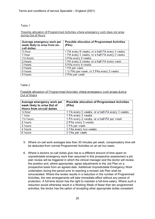Table 1

#### Possible allocation of Programmed Activities where emergency work does not arise during Out of Hours

| Average emergency work per<br>week likely to arise from on-<br>call duties | <b>Possible allocation of Programmed Activities</b><br>(PAs) |
|----------------------------------------------------------------------------|--------------------------------------------------------------|
| $\frac{1}{2}$ hour                                                         | 1 PA every 8 weeks, or a half-PA every 4 weeks               |
| 1 hour                                                                     | 1 PA every 4 weeks, or a half-PA every 2 weeks               |
| 1 <sup>1/2</sup> hours                                                     | 3 PAs every 8 weeks                                          |
| 2 hours                                                                    | 1 PA every 2 weeks, or a half-PA every week                  |
| 3 hours                                                                    | 3 PAs every 4 weeks                                          |
| 4 hours                                                                    | 1 PA per week                                                |
| 6 hours                                                                    | 1 1/2 PAs per week, or 3 PAs every 2 weeks                   |
| 8 hours                                                                    | 2 PAs per week                                               |

#### Table 2

Possible allocation of Programmed Activities where emergency work arises during Out of Hours

| Average emergency work per<br>week likely to arise Out of<br><b>Hours from on-call duties</b> | <b>Possible allocation of Programmed Activities</b><br>(PAs) |
|-----------------------------------------------------------------------------------------------|--------------------------------------------------------------|
| $\frac{1}{2}$ hour                                                                            | 1 PA every 6 weeks, or a half-PA every 3 weeks               |
| 1 hour                                                                                        | 1 PA every 3 weeks                                           |
| 1 <sup>1</sup> / <sub>2</sub> hours                                                           | 1 PA every 2 weeks, or a half-PA per week                    |
| 2 hours                                                                                       | 2 PAs every 3 weeks                                          |
| 3 hours                                                                                       | 1 PA per week                                                |
| 4 hours                                                                                       | 3 PAs every two weeks                                        |
| 6 hours                                                                                       | 2 PAs per week                                               |

- 5. Where on-call work averages less than 30 minutes per week, compensatory time will be deducted from normal Programmed Activities on an ad hoc basis.
- 6. Where a doctors on-call duties give rise to a different amount of time spent on unpredictable emergency work than assumed in this prospective assessment a job plan review will be triggered in which the clinical manager and the doctor will review the position and, where appropriate, agree adjustments to the Job Plan on a prospective basis from an agreed date. Additional Unpredictable Emergency Work undertaken during the period prior to reaching a revised Job Plan shall be remunerated. Where the review results in a reduction in the number of Programmed Activities, the new arrangements will take immediate effect without any period of protection. A full-time doctor has the right to maintain a full-time salary. Where such a reduction would otherwise result in a Working Week of fewer than ten programmed activities, the doctor has the option of accepting other appropriate duties consistent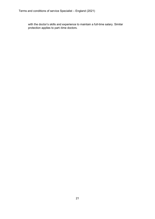with the doctor's skills and experience to maintain a full-time salary. Similar protection applies to part–time doctors.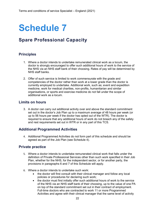### **Spare Professional Capacity**

#### **Principles**

- 1. Where a doctor intends to undertake remunerated clinical work as a locum, the doctor is strongly encouraged to offer such additional hours of work to the service of the NHS via an NHS staff bank of their choosing. Rates of pay will be determined by NHS staff banks.
- 2. Offer of such service is limited to work commensurate with the grade and competencies of the doctor rather than work at a lower grade than the doctor is currently employed to undertake. Additional work, such as; event and expedition medicine, work for medical charities, non-profits, humanitarian and similar organisations, or sports and exercise medicine do not fall under the scope of additional work as a locum.

#### **Limits on hours**

3. A doctor can carry out additional activity over and above the standard commitment set out in the doctor's Job Plan up to a maximum average of 48 hours per week (or up to 56 hours per week if the doctor has opted out of the WTR). The doctor is required to ensure that any additional hours of work do not breach any of the safety and rest requirements set out in WTR or in any part of this TCS.

#### **Additional Programmed Activities**

4. Additional Programmed Activities do not form part of this schedule and should be agreed as part of the Job Plan (see Schedule 4).

#### **Private practice**

- 5. Where a doctor intends to undertake remunerated clinical work that falls under the definition of Private Professional Services other than such work specified in their Job Plan, whether for the NHS, for the independent sector, or for another party, the provisions in paragraphs 6 and 7 of this Schedule will apply.
- 6. Where a doctor intends to undertake such work:
	- the doctor will first consult with their clinical manager and follow any local policies or procedures for declaring such work;
	- the doctor must first initially offer such additional hours of work to the service of the NHS via an NHS staff bank of their choosing, up to the value of one PA on top of the standard commitment set out in their contract of employment. Full-time doctors who are contracted to work 11 or more Programmed Activities and agree with their clinical manager that the same level of activity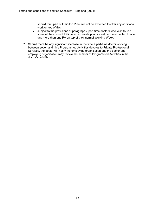should form part of their Job Plan, will not be expected to offer any additional work on top of this;

- subject to the provisions of paragraph 7 part-time doctors who wish to use some of their non-NHS time to do private practice will not be expected to offer any more than one PA on top of their normal Working Week.
- 7. Should there be any significant increase in the time a part-time doctor working between seven and nine Programmed Activities devotes to Private Professional Services, the doctor will notify the employing organisation and the doctor and employing organisation may review the number of Programmed Activities in the doctor's Job Plan.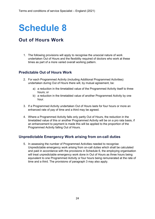### **Out of Hours Work**

1. The following provisions will apply to recognise the unsocial nature of work undertaken Out of Hours and the flexibility required of doctors who work at these times as part of a more varied overall working pattern.

#### **Predictable Out of Hours Work**

- 2. For each Programmed Activity (including Additional Programmed Activities) undertaken during Out of Hours there will, by mutual agreement, be:
	- a) a reduction in the timetabled value of the Programmed Activity itself to three hours; or
	- b) a reduction in the timetabled value of another Programmed Activity by one hour.
- 3. If a Programmed Activity undertaken Out of Hours lasts for four hours or more an enhanced rate of pay of time and a third may be agreed.
- 4. Where a Programmed Activity falls only partly Out of Hours, the reduction in the timetabled value of this or another Programmed Activity will be on a pro rata basis, if an enhancement to payment is made this will be applied to the proportion of the Programmed Activity falling Out of Hours.

#### **Unpredictable Emergency Work arising from on-call duties**

5. In assessing the number of Programmed Activities needed to recognise Unpredictable emergency work arising from on-call duties which shall be calculated and paid in accordance with the provisions in Schedule 6, the employing organisation will treat unpredictable emergency work done in Out of Hours as three hours being equivalent to one Programmed Activity or four hours being remunerated at the rate of time and a third. The provisions of paragraph 3 may also apply.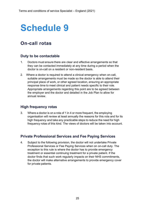### **On-call rotas**

#### **Duty to be contactable**

- 1. Doctors must ensure there are clear and effective arrangements so that they can be contacted immediately at any time during a period when the doctor is on-call on a resident or non-resident basis.
- 2. Where a doctor is required to attend a clinical emergency when on-call, suitable arrangements must be made so the doctor is able to attend their principal place of work, or other agreed location, ensuring an appropriate response time to meet clinical and patient needs specific to their role. Appropriate arrangements regarding this point are to be agreed between the employer and the doctor and detailed in the Job Plan to allow for annual review.

#### **High frequency rotas**

3. Where a doctor is on a rota of 1 in 4 or more frequent, the employing organisation will review at least annually the reasons for this rota and for its high frequency and take any practicable steps to reduce the need for high frequency rotas of this kind. The views of doctors will be taken into account.

#### **Private Professional Services and Fee Paying Services**

4. Subject to the following provision, the doctor will not undertake Private Professional Services or Fee Paying Services when on on-call duty. The exception to this rule is where the doctor has to provide emergency treatment or essential continuing treatment for a private patient. If the doctor finds that such work regularly impacts on their NHS commitments, the doctor will make alternative arrangements to provide emergency cover for private patients.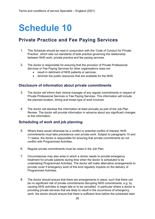### **Private Practice and Fee Paying Services**

- 1. This Schedule should be read in conjunction with the 'Code of Conduct for Private Practice', which sets out standards of best practice governing the relationship between NHS work, private practice and fee paying services.
- 2. The doctor is responsible for ensuring that the provision of Private Professional Services or Fee Paying Services for other organisations does not:
	- result in detriment of NHS patients or services;
	- diminish the public resources that are available for the NHS.

#### **Disclosure of information about private commitments**

- 3. The doctor will inform their clinical manager of any regular commitments in respect of Private Professional Services or Fee Paying Services. This information will include the planned location, timing and broad type of work involved.
- 4. The doctor will disclose this information at least annually as part of the Job Plan Review. The doctor will provide information in advance about any significant changes to this information.

#### **Scheduling of work and job planning**

- 5. Where there would otherwise be a conflict or potential conflict of interest, NHS commitments must take precedence over private work. Subject to paragraphs 10 and 11 below, the doctor is responsible for ensuring that private commitments do not conflict with Programmed Activities.
- 6. Regular private commitments must be noted in the Job Plan.
- 7. Circumstances may also arise in which a doctor needs to provide emergency treatment for private patients during time when the doctor is scheduled to be undertaking Programmed Activities. The doctor will make alternative arrangements to provide cover if emergency work of this kind regularly impacts on the delivery of Programmed Activities.
- 8. The doctor should ensure that there are arrangements in place, such that there can be no significant risk of private commitments disrupting NHS commitments, e.g. by causing NHS activities to begin late or to be cancelled. In particular where a doctor is providing private services that are likely to result in the occurrence of emergency work, the doctor should ensure that there is sufficient time before the scheduled start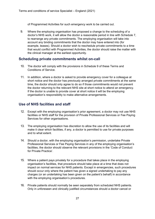of Programmed Activities for such emergency work to be carried out.

9. Where the employing organisation has proposed a change to the scheduling of a doctor's NHS work, it will allow the doctor a reasonable period in line with Schedule 7, to rearrange any private commitments. The employing organisation will take into account any binding commitments that the doctor may have entered into (for example, leases). Should a doctor wish to reschedule private commitments to a time that would conflict with Programmed Activities, the doctor should raise the matter with the clinical manager at the earliest opportunity.

#### **Scheduling private commitments whilst on-call**

- 10. The doctor will comply with the provisions in Schedule 9 of these Terms and Conditions of Service.
- 11. In addition, where a doctor is asked to provide emergency cover for a colleague at short notice and the doctor has previously arranged private commitments at the same time, the doctor should only agree to do so if those commitments would not prevent the doctor returning to the relevant NHS site at short notice to attend an emergency. If the doctor is unable to provide cover at short notice it will be the employing organisation's responsibility to make alternative arrangements.

#### **Use of NHS facilities and staff**

- 12. Except with the employing organisation's prior agreement, a doctor may not use NHS facilities or NHS staff for the provision of Private Professional Services or Fee Paying Services for other organisations.
- 13. The employing organisation has discretion to allow the use of its facilities and will make it clear which facilities, if any, a doctor is permitted to use for private purposes and to what extent.
- 14. Should a doctor, with the employing organisation's permission, undertake Private Professional Services or Fee Paying Services in any of the employing organisation's facilities, the doctor should observe the relevant provisions in the 'Code of Conduct for Private Practice'.
- 15. Where a patient pays privately for a procedure that takes place in the employing organisation's facilities, that procedure should take place at a time that does not impact on normal services for NHS patients. Except in emergencies, such procedures should occur only where the patient has given a signed undertaking to pay any charges (or an undertaking has been given on the patient's behalf) in accordance with the employing organisation's procedures.
- 16. Private patients should normally be seen separately from scheduled NHS patients. Only in unforeseen and clinically justified circumstances should a doctor cancel or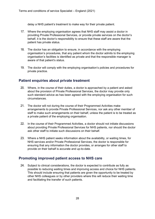delay a NHS patient's treatment to make way for their private patient.

- 17. Where the employing organisation agrees that NHS staff may assist a doctor in providing Private Professional Services, or provide private services on the doctor's behalf, it is the doctor's responsibility to ensure that these staff are aware that the patient has private status.
- 18. The doctor has an obligation to ensure, in accordance with the employing organisation's procedures, that any patient whom the doctor admits to the employing organisation's facilities is identified as private and that the responsible manager is aware of that patient's status.
- 19. The doctor will comply with the employing organisation's policies and procedures for private practice.

#### **Patient enquiries about private treatment**

- 20. Where, in the course of their duties, a doctor is approached by a patient and asked about the provision of Private Professional Services, the doctor may provide only such standard advice as has been agreed with the employing organisation for such circumstances.
- 21. The doctor will not during the course of their Programmed Activities make arrangements to provide Private Professional Services, nor ask any other member of staff to make such arrangements on their behalf, unless the patient is to be treated as a private patient of the employing organisation.
- 22. In the course of their Programmed Activities, a doctor should not initiate discussions about providing Private Professional Services for NHS patients, nor should the doctor ask other staff to initiate such discussions on their behalf.
- 23. Where a NHS patient seeks information about the availability, or waiting times, for NHS services and/or Private Professional Services, the doctor is responsible for ensuring that any information the doctor provides, or arranges for other staff to provide on their behalf is accurate and up-to-date.

#### **Promoting improved patient access to NHS care**

24. Subject to clinical considerations, the doctor is expected to contribute as fully as possible to reducing waiting times and improving access and choice for NHS patients. This should include ensuring that patients are given the opportunity to be treated by other NHS colleagues or by other providers where this will reduce their waiting time and facilitating the transfer of such patients.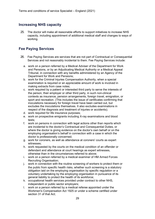#### **Increasing NHS capacity**

25. The doctor will make all reasonable efforts to support initiatives to increase NHS capacity, including appointment of additional medical staff and changes to ways of working.

#### **Fee Paying Services**

- 26. Fee Paying Services are services that are not part of Contractual or Consequential Services and not reasonably incidental to them. Fee Paying Services include:
	- a. work on a person referred by a Medical Adviser of the Department for Work and Pensions, or by an Adjudicating Medical Authority or a Medical Appeal Tribunal, in connection with any benefits administered by an Agency of the Department for Work and Pensions;
	- b. work for the Criminal Injuries Compensation Authority, when a special examination is required or an appreciable amount of work is involved in making extracts from case notes;
	- c. work required by a patient or interested third party to serve the interests of the person, their employer or other third party, in such non-clinical contexts as insurance, pension arrangements, foreign travel, emigration, or sport and recreation. (This includes the issue of certificates confirming that inoculations necessary for foreign travel have been carried out, but excludes the inoculations themselves. It also excludes examinations in respect of the diagnosis and treatment of injuries or accidents);
	- d. work required for life insurance purposes;
	- e. work on prospective emigrants including X-ray examinations and blood tests;
	- f. work on persons in connection with legal actions other than reports which are incidental to the doctor's Contractual and Consequential Duties, or where the doctor is giving evidence on the doctor's own behalf or on the employing organisation's behalf in connection with a case in which the doctor is professionally concerned;
	- g. work for coroners, as well as attendance at coroners' courts as expert witnesses;
	- h. work requested by the courts on the medical condition of an offender or defendant and attendance at court hearings as expert witnesses, otherwise than in the circumstances referred to above;
	- i. work on a person referred by a medical examiner of HM Armed Forces Recruiting Organisation;
	- j. work in connection with the routine screening of workers to protect them or the public from specific health risks, whether such screening is a statutory obligation laid on the employing organisation by specific regulation or a voluntary undertaking by the employing organisation in pursuance of its general liability to protect the health of its workforce;
	- k. occupational health services provided under contract to other NHS, independent or public sector employers;
	- l. work on a person referred by a medical referee appointed under the Workmen's Compensation Act 1925 or under a scheme certified under section 31 of that Act;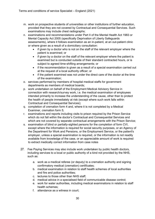- m. work on prospective students of universities or other institutions of further education, provided that they are not covered by Contractual and Consequential Services. Such examinations may include chest radiographs;
- n. examinations and recommendations under Part II of the Mental Health Act 1983 or Mental Capacity Act 2005 (specifically Deprivation of Liberty Safeguards assessments), where it follows examination as an in-patient, at an out-patient clinic or where given as a result of a domiciliary consultation:
	- if given by a doctor who is not on the staff of the relevant employer where the patient is examined; or
	- if given by a doctor on the staff of the relevant employer where the patient is examined but is conducted outside of their standard contracted hours, or is subject to agreed time-shifting arrangements; or
	- if the recommendation is given as a result of a special examination carried out at the request of a local authority officer; or
	- if the patient examined was not under the direct care of the doctor at the time of the examination;
- o. services performed by members of hospital medical staffs for government departments as members of medical boards;
- p. work undertaken on behalf of the Employment Medical Advisory Service in connection with research/survey work, i.e. the medical examination of employees intended primarily to increase the understanding of the cause, other than to protect the health of people immediately at risk (except where such work falls within Contractual and Consequential Services);
- q. completion of cremation form 4 and, where it is not completed by a Medical Examiner, cremation form 5;
- r. examinations and reports including visits to prison required by the Prison Service which do not fall within the doctor's Contractual and Consequential Services and which are not covered by separate contractual arrangements with the Prison Service;
- s. examination of blind or partially-sighted persons for the completion of form CVI, except where the information is required for social security purposes, or an Agency of the Department for Work and Pensions, or the Employment Service, or the patient's employer, unless a special examination is required, or the information is not readily available from knowledge of the case, or an appreciable amount of work is required to extract medically correct information from case notes
- 27. Fee Paying Services may also include work undertaken by public health doctors, including services to a local or public authority of a kind not provided by the NHS, such as:
	- a. work as a medical referee (or deputy) to a cremation authority and signing confirmatory medical (cremation) certificates;
	- b. medical examination in relation to staff health schemes of local authorities and fire and police authorities;
	- c. lectures to those other than NHS staff;
	- d. medical advice in a specialised field of communicable disease control;
	- e. work for water authorities, including medical examinations in relation to staff health schemes;
	- f. attendance as a witness in court;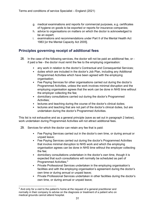- g. medical examinations and reports for commercial purposes, e.g. certificates of hygiene on goods to be exported or reports for insurance companies;
- h. advice to organisations on matters on which the doctor is acknowledged to be an expert;
- i. examinations and recommendations under Part II of the Mental Health Act 1983 [or the Mental Capacity Act 2005].

#### **Principles governing receipt of additional fees**

- 28. In the case of the following services, the doctor will not be paid an additional fee, or if paid a fee - the doctor must remit the fee to the employing organisation:
	- any work in relation to the doctor's Contractual and Consequential Services;
	- duties which are included in the doctor's Job Plan, including any Additional Programmed Activities which have been agreed with the employing organisation:
	- Fee Paying Services for other organisations carried out during the doctor's Programmed Activities, unless the work involves minimal disruption and the employing organisation agrees that the work can be done in NHS time without the employer collecting the fee;
	- domiciliary consultations carried out during the doctor's Programmed Activities;
	- lectures and teaching during the course of the doctor's clinical duties;
	- lectures and teaching that are not part of the doctor's clinical duties, but are undertaken during the doctor's Programmed Activities.

This list is not exhaustive and as a general principle (save as set out in paragraph 2 below), work undertaken during Programmed Activities will not attract additional fees.

- 29. Services for which the doctor can retain any fee that is paid:
	- Fee Paying Services carried out in the doctor's own time, or during annual or unpaid leave;
	- Fee Paying Services carried out during the doctor's Programmed Activities that involve minimal disruption to NHS work and which the employing organisation agrees can be done in NHS time without the employer collecting the fee;
	- domiciliary consultations undertaken in the doctor's own time, though it is expected that such consultations will normally be scheduled as part of Programmed Activities:<sup>[3](#page-30-0)</sup>
	- Private Professional Services undertaken in the employing organisation's facilities and with the employing organisation's agreement during the doctor's own time or during annual or unpaid leave;
	- Private Professional Services undertaken in other facilities during the doctor's own time, or during annual or unpaid leave;

<span id="page-30-0"></span> $3$  And only for a visit to the patient's home at the request of a general practitioner and normally in their company to advise on the diagnosis or treatment of a patient who on medical grounds cannot attend hospital.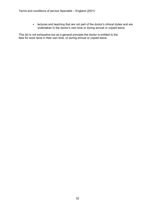• lectures and teaching that are not part of the doctor's clinical duties and are undertaken in the doctor's own time or during annual or unpaid leave.

This list is not exhaustive but as a general principle the doctor is entitled to the fees for work done in their own time, or during annual or unpaid leave.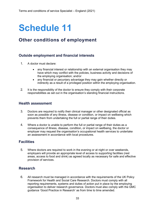### **Other conditions of employment**

#### **Outside employment and financial interests**

- 1. A doctor must declare:
	- any financial interest or relationship with an external organisation they may have which may conflict with the policies, business activity and decisions of the employing organisation; and/or
	- any financial or pecuniary advantage they may gain whether directly or indirectly as a result of a privileged position within the employing organisation.
- 2. It is the responsibility of the doctor to ensure they comply with their corporate responsibilities as set out in the organisation's standing financial instructions.

#### **Health assessment**

- 3. Doctors are required to notify their clinical manager or other designated official as soon as possible of any illness, disease or condition, or impact on wellbeing which prevents them from undertaking the full or partial range of their duties.
- 4. Where a doctor is unable to perform the full or partial range of their duties as a consequence of illness, disease, condition, or impact on wellbeing, the doctor or employer may request the organisation's occupational health services to undertake an assessment in accordance with local procedures.

#### **Facilities**

5. Where doctors are required to work in the evening or at night or over weekends, employers will provide an appropriate level of access to supporting facilities (rest areas, access to food and drink) as agreed locally as necessary for safe and effective provision of services.

#### **Research**

6. All research must be managed in accordance with the requirements of the UK Policy Framework for Health and Social Care Research. Doctors must comply with all reporting requirements, systems and duties of action put in place by the employing organisation to deliver research governance. Doctors must also comply with the GMC guidance 'Good Practice in Research' as from time to time amended.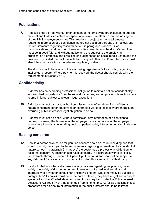#### **Publications**

- 7. A doctor shall be free, without prior consent of the employing organisation, to publish material and to deliver lectures or speak at an event, whether on matters arising out of their NHS employment or not. This freedom is subject to the requirements regarding information of a confidential nature set out in paragraphs 9-11 below, and the requirements regarding research set out in paragraph 6 above. Such communications, whether or not these activities take place in the doctor's own time, must be in good faith and without malice, and are subject to the employing organisation's protocols and practices (including those on social media usage and the press) and provided the doctor is able to comply with their Job Plan. The doctor must also follow guidance from the relevant regulatory bodies.
- 8. The doctor should be aware of the employing organisation's local policy regarding intellectual property. Where payment is received, the doctor should comply with the requirements of Schedule 10.

#### **Confidentiality**

- 9. A doctor has an overriding professional obligation to maintain patient confidentiality as described by guidance from the regulatory bodies, and employer policies from time to time in force, subject to relevant legal exceptions.
- 10. A doctor must not disclose, without permission, any information of a confidential nature concerning other employees or contracted workers, except where there is an overriding public interest or legal obligation to do so.
- 11. A doctor must not disclose, without permission, any information of a confidential nature concerning the business of the employer or of contractors of the employer, save where there is an overriding public or patient safety interest or legal obligation to do so.

#### **Raising concerns**

- 12. Should a doctor have cause for genuine concern about an issue (including one that would normally be subject to the requirements regarding information of a confidential nature set out in paragraph 9-11 above) the doctor has a professional obligation to raise that concern. A doctor should raise concerns, in accordance with local policy (for example through Freedom to Speak Up Guardians) and shall not be subject to any detriment for raising such concerns, including those regarding a third party.
- 13. If a doctor believes that a disclosure of any concern regarding malpractice, patient safety, the safety of doctors, other employees or contracted workers, financial impropriety or any other serious risk (including one that would normally be subject to paragraph 9-11 above) would be in the public interest, they have a right and a duty to speak out and be afforded statutory protection as required under the Public Interest Disclosure Act 1998 (PIDA) as amended from time to time. As far as practicable, local procedures for disclosure of information in the public interest should be followed.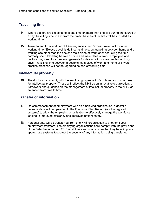#### **Travelling time**

- 14. Where doctors are expected to spend time on more than one site during the course of a day, travelling time to and from their main base to other sites will be included as working time.
- 15. Travel to and from work for NHS emergencies, and 'excess travel' will count as working time. 'Excess travel' is defined as time spent travelling between home and a working site other than the doctor's main place of work, after deducting the time normally spent travelling between home and main place of work. Employers and doctors may need to agree arrangements for dealing with more complex working days. Travelling time between a doctor's main place of work and home or private practice premises will not be regarded as part of working time.

#### **Intellectual property**

16. The doctor must comply with the employing organisation's policies and procedures for intellectual property. These will reflect the NHS as an innovative organisation: a framework and guidance on the management of intellectual property in the NHS, as amended from time to time.

#### **Transfer of information**

- 17. On commencement of employment with an employing organisation, a doctor's personal data will be uploaded to the Electronic Staff Record (or other agreed systems) to allow the employing organisation to effectively manage the workforce leading to improved efficiency and improved patient safety.
- 18. Personal data will be transferred from one NHS organisation to another if your employment transfers. The employing organisations shall comply with the provisions of the Data Protection Act 2018 at all times and shall ensure that they have in place appropriate systems to protect the security of any information being transferred.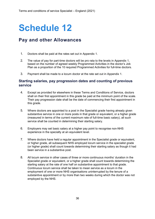### **Pay and other Allowances**

- 1. Doctors shall be paid at the rates set out in Appendix 1.
- 2. The value of pay for part-time doctors will be pro rata to the levels in Appendix 1, based on the number of agreed weekly Programmed Activities in the doctor's Job Plan as a proportion of the 10 required Programmed Activities for full-time doctors.
- 3. Payment shall be made to a locum doctor at the rate set out in Appendix 1.

#### **Starting salaries, pay progression dates and counting of previous service**

- 4. Except as provided for elsewhere in these Terms and Conditions of Service, doctors shall on their first appointment in this grade be paid at the minimum point of the scale. Their pay progression date shall be the date of commencing their first appointment in this grade.
- 5. Where doctors are appointed to a post in the Specialist grade having already given substantive service in one or more posts in that grade or equivalent, or a higher grade (measured in terms of the current maximum rate of full-time basic salary), all such service shall be counted in determining their starting salary.
- 6. Employers may set basic salary at a higher pay point to recognise non-NHS experience in the specialty at an equivalent level.
- 7. Where doctors have held a regular appointment in the Specialist grade or equivalent, or higher grade, all subsequent NHS employed locum service in the specialist grade (or higher grade) shall count towards determining their starting salary as though it had been service in a substantive post.
- 8. All locum service in other cases of three or more continuous months' duration in the Specialist grade or equivalent, or a higher grade shall count towards determining the starting salary at the rate of one half on substantive appointment to that grade. Continuous locum service shall be taken to mean service as a locum in the employment of one or more NHS organisations uninterrupted by the tenure of a substantive appointment or by more than two weeks during which the doctor was not employed by the NHS.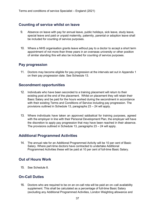#### **Counting of service whilst on leave**

- 9. Absence on leave with pay for annual leave, public holidays, sick leave, study leave, special leave and paid or unpaid maternity, paternity, parental or adoption leave shall be included for counting of service purposes.
- 10. Where a NHS organisation grants leave without pay to a doctor to accept a short term appointment of not more than three years in an overseas university or other position of similar standing this will also be included for counting of service purposes.

#### **Pay progression**

11. Doctors may become eligible for pay progression at the intervals set out in Appendix 1 on their pay progression date. See Schedule 13.

#### **Secondment opportunities**

- 12. Individuals who have been seconded to a training placement will return to their existing post at the end of the placement. Whilst on placement they will retain their Basic Salary and be paid for the hours worked during the secondment in accordance with their existing Terms and Conditions of Service including pay progression. The provisions outlined in Schedule 13, paragraphs 23 – 24 will apply.
- 13. Where individuals have taken an approved sabbatical for training purposes, agreed with the employer in line with their Personal Development Plan, the employer will have the discretion to apply pay progression that may have been reached in their absence. The provisions outlined in Schedule 13, paragraphs 23 – 24 will apply.

#### **Additional Programmed Activities**

14. The annual rate for an Additional Programmed Activity will be 10 per cent of Basic Salary. Where part-time doctors have contracted to undertake Additional Programmed Activities these will be paid at 10 per cent of full-time Basic Salary.

#### **Out of Hours Work**

15. See Schedule 8.

#### **On-Call Duties**

16. Doctors who are required to be on an on-call rota will be paid an on–call availability supplement. This shall be calculated as a percentage of full-time Basic Salary (excluding any Additional Programmed Activities, London Weighting allowance and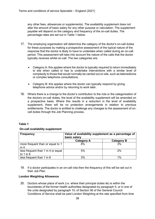any other fees, allowances or supplements). The availability supplement does not alter the amount of basic salary for any other purpose or calculation. The supplement payable will depend on the category and frequency of the on-call duties. The percentage rates are set out in Table 1 below.

- 17. The employing organisation will determine the category of the doctor's on-call duties for these purposes by making a prospective assessment of the typical nature of the response that the doctor is likely to have to undertake when called during an on-call period. This assessment will take into account the nature of the calls that the doctor typically receives whilst on-call. The two categories are:
	- Category A: this applies where the doctor is typically required to return immediately to site when called or has to undertake interventions with a similar level of complexity to those that would normally be carried out on site, such as telemedicine or complex telephone consultations;
	- Category B: this applies where the doctor can typically respond by giving telephone advice and/or by returning to work later.
- 18. Where there is a change to the doctor's contribution to the rota or the categorisation of the doctors on-call duties, the level of the availability supplement will be amended on a prospective basis. Where this results in a reduction in the level of availability supplement, there will be no protection arrangements in relation to previous entitlements. The doctor is entitled to challenge any changes to the assessment of oncall duties through the Job Planning process.

#### **Table 1**

#### **On-call availability supplement**

| <b>Frequency</b>                                    | Value of availability supplement as a percentage of<br>basic salary |                   |  |
|-----------------------------------------------------|---------------------------------------------------------------------|-------------------|--|
|                                                     | <b>Category A</b>                                                   | <b>Category B</b> |  |
| more frequent than or equal to 1<br>in 4            | 8%                                                                  | 3%                |  |
| less frequent than 1 in 4 or equal<br>to $1$ in $8$ | 5%                                                                  | 2%                |  |
| less frequent than 1 in 8                           | 3%                                                                  | 1%                |  |

19. If a doctor participates in an on-call rota then the frequency of this will be set out in their Job Plan.

#### **London Weighting Allowance**

20. Doctors whose place of work (i.e. where their principal duties lie) is within the boundaries of the former health authorities designated by paragraph 5, or in one of the units designated by paragraph 10, of Section 56 of the General Council Conditions of Service shall be paid London Weighting at the rate specified from time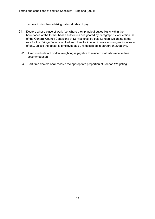to time in circulars advising national rates of pay.

- 21. Doctors whose place of work (i.e. where their principal duties lie) is within the boundaries of the former health authorities designated by paragraph 12 of Section 56 of the General Council Conditions of Service shall be paid London Weighting at the rate for the 'Fringe Zone' specified from time to time in circulars advising national rates of pay, unless the doctor is employed at a unit described in paragraph 20 above.
	- 22. A reduced rate of London Weighting is payable to resident staff who receive free accommodation.
	- 23. Part-time doctors shall receive the appropriate proportion of London Weighting.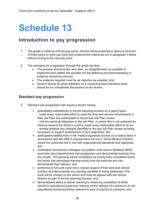### **Introduction to pay progression**

- 1. The grade is made up of three pay points. Doctors will be expected to spend a minimum of three years on each pay point and evidence the criteria set out in paragraph 3 below before moving to the next pay point.
- 2. The principles for progression through the grade are that:
	- The process should be fair and clear, as straightforward as possible to implement and neither the process nor the gathering and demonstrating of evidence should be onerous;
	- The evidence required must be as objective as possible; and,
	- Doctors should be given feedback on a continuing basis therefore there should be no unexpected discussions at any review.

#### **Standard pay progression**

- 3. Standard pay progression will require a doctor having:
	- participated satisfactorily in the job planning process on a yearly basis: - made every reasonable effort to meet the time and service commitments in their Job Plan and participated in the annual Job Plan review; - met the personal objectives in the Job Plan, or where this is not achieved for reasons beyond the doctor's control, made every reasonable effort to do so; - worked towards any changes identified in the last Job Plan review as being necessary to support achievement of joint objectives; and
	- participated satisfactorily in the medical appraisal process on a yearly basis in accordance with the GMC's requirements set out in 'Good Medical Practice' where the outcomes are in line with organisational standards and objectives; and
	- undertaken anonymous colleague and patient multi-source feedback (MSF) exercises since appointment/ last progression and demonstrate learning from the results. This learning will be considered as having been completed where the doctor has articulated learning points from the exercise and can demonstrate their delivery; and
	- performed a full audit cycle into a chosen aspect of their personal clinical practice and demonstrate any learning identified is being addressed. The audit will be chosen by the doctor and must be agreed with the clinical director as part of the job planning process; and
	- demonstrated ability to deliver learning to others by completion of either clinical or educational supervisor training and/or delivery of a minimum of one educational lecture/workshop relevant to area of practice to clinicians; and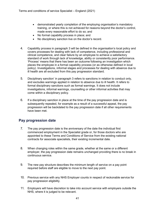- demonstrated yearly completion of the employing organisation's mandatory training, or where this is not achieved for reasons beyond the doctor's control, made every reasonable effort to do so; and
- No formal capability process in place; and
- No disciplinary sanction live on the doctor's record.
- 4. Capability process in paragraph 3 will be defined in the organisation's local policy and covers processes for dealing with lack of competence, including professional and clinical competence, and clear failure by an employee to achieve a satisfactory standard of work through lack of knowledge, ability or consistently poor performance. 'Process' means that there has been an outcome following an investigation which places the employee in a formal capability process (or as otherwise defined in local policy). Investigations, informal stages and processes for dealing with absence due to ill health are all excluded from this pay progression standard.
- 5. Disciplinary sanction' in paragraph 3 refers to sanctions in relation to conduct only, and excludes warnings applied in relation to absence due to ill health. It refers to formal disciplinary sanctions such as formal warnings. It does not include investigations, informal warnings, counselling or other informal activities that may come within a disciplinary policy.
- 6. If a disciplinary sanction in place at the time of the pay progression date and is subsequently repealed, for example as a result of a successful appeal, the pay progression will be backdated to the pay progression date if all other requirements have been met.

#### **Pay progression date**

- 7. The pay progression date is the anniversary of the date the individual first commenced employment in the Specialist grade or, for those doctors who are appointed to these Terms and Conditions of Service from the existing national contracts for associate specialists, their existing incremental date.
- 8. When changing roles within the same grade, whether at the same or a different employer, the pay progression date remains unchanged providing there is no break in continuous service.
- 9. The new pay structure describes the minimum length of service on a pay point required before staff are eligible to move to the next pay point.
- 10. Previous service with any NHS Employer counts in respect of reckonable service for pay progression eligibility.
- 11. Employers will have discretion to take into account service with employers outside the NHS, where it is judged to be relevant.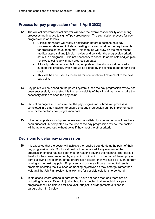#### **Process for pay progression (from 1 April 2023)**

- 12. The clinical director/medical director will have the overall responsibility of ensuring processes are in place to sign off pay progression. The submission process for pay progression is as follows:
	- Clinical managers will receive notification before a doctor's next pay progression date and initiate a meeting to review whether the requirements for progression have been met. This meeting will draw on the most recent medical appraisal and job plan review and consider the progression criteria set out in paragraph 3. It is not necessary to schedule appraisals and job plan reviews to coincide with pay progression dates.
	- A locally determined simple form, template or checklist should be used to support this process, which should be signed by the clinical manager and the doctor.
	- This will then be used as the basis for confirmation of movement to the next pay point.
- 13. Pay points will be closed on the payroll system. Once the pay progression review has been successfully completed it is the responsibility of the clinical manager to take the necessary action to open the pay point.
- 14. Clinical managers must ensure that the pay progression submission process is completed in a timely fashion to ensure that pay progression can be implemented in time for the doctor's pay progression date.
- 15. If the last appraisal or job plan review was not satisfactory but remedial actions have been successfully completed by the time of the pay progression review, the doctor will be able to progress without delay if they meet the other criteria.

#### **Decisions to delay pay progression**

- 16. It is expected that the doctor will achieve the required standards at the point of their pay progression date. Doctors should not be penalised if any element of the progression criteria has not been met for reasons beyond their control. Therefore, if the doctor has been prevented by any action or inaction on the part of the employer from satisfying any element of the progression criteria, they will not be prevented from moving to the next pay point. Employers and doctors will be expected to identify problems affecting the likelihood of meeting objectives as they emerge, rather than wait until the Job Plan review, to allow time for possible solutions to be found.
- 17. In situations where criteria in paragraph 3 have not been met, and there are no mitigating factors sufficient to justify this, it is expected that an individual's pay progression will be delayed for one year, subject to arrangements outlined in paragraphs 18-19 below.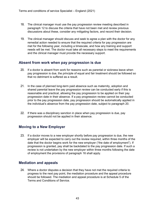- 18. The clinical manager must use the pay progression review meeting described in paragraph 12 to discuss the criteria that have not been met and review previous discussions about these, consider any mitigating factors, and record their decision.
- 19. The clinical manager should discuss and seek to agree a plan with the doctor for any remedial action needed to ensure that the required criteria for pay progression are met for the following year, including a timescale, and how any training and support needs will be met. The doctor must take all necessary steps to meet the requirements and the clinical manager must provide the necessary support.

#### **Absent from work when pay progression is due**

- 20. If a doctor is absent from work for reasons such as parental or sickness leave when pay progression is due, the principle of equal and fair treatment should be followed so that no detriment is suffered as a result.
- 21. In the case of planned long-term paid absence such as maternity, adoption and shared parental leave the pay progression review can be conducted early if this is reasonable and practical, allowing the pay progression to be applied on their pay progression date in their absence. If a pay progression review cannot be conducted prior to the pay progression date, pay progression should be automatically applied in the individual's absence from the pay progression date, subject to paragraph 20.
- 22. If there was a disciplinary sanction in place when pay progression is due, pay progression should not be applied in their absence.

#### **Moving to a New Employer**

23. If a doctor moves to a new employer shortly before pay progression is due, the new employer will be expected to carry out the review required, within three months of the date that the doctor begins work for the new employer ("the date of employment"). If progression is granted, pay shall be backdated to the pay progression date. If such a review is not undertaken by the new employer within three months following the date of employment the provisions of paragraph 16 shall apply.

#### **Mediation and appeals**

24. Where a doctor disputes a decision that they have not met the required criteria to progress to the next pay point, the mediation procedure and the appeal procedure should be followed. The mediation and appeal procedure is at Schedule 5 of the Terms and Conditions of Service.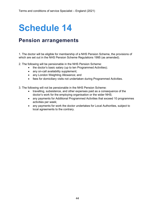### **Pension arrangements**

1. The doctor will be eligible for membership of a NHS Pension Scheme, the provisions of which are set out in the NHS Pension Scheme Regulations 1995 (as amended).

- 2. The following will be pensionable in the NHS Pension Scheme:
	- the doctor's basic salary (up to ten Programmed Activities);
	- any on-call availability supplement;
	- any London Weighting Allowance; and
	- fees for domiciliary visits not undertaken during Programmed Activities.
- 3. The following will not be pensionable in the NHS Pension Scheme:
	- travelling, subsistence, and other expenses paid as a consequence of the doctor's work for the employing organisation or the wider NHS;
	- any payments for Additional Programmed Activities that exceed 10 programmes activities per week;
	- any payments for work the doctor undertakes for Local Authorities, subject to local agreements to the contrary.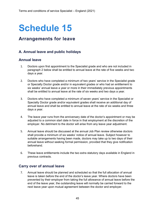### **Arrangements for leave**

#### **A. Annual leave and public holidays**

#### **Annual leave**

- 1. Doctors upon first appointment to the Specialist grade and who are not included in paragraph 2 below shall be entitled to annual leave at the rate of five weeks and two days a year.
- 2. Doctors who have completed a minimum of two years' service in the Specialist grade or Specialty Doctor grade and/or in equivalent grades or who had an entitlement to six weeks' annual leave a year or more in their immediately previous appointments shall be entitled to annual leave at the rate of six weeks and two days a year.
- 3. Doctors who have completed a minimum of seven years' service in the Specialist or Specialty Doctor grade and/or equivalent grades shall receive an additional day of annual leave and shall be entitled to annual leave at the rate of six weeks and three days a year.
- 4. The leave year runs from the anniversary date of the doctor's appointment or may be adjusted to a common start date in force in that employment at the discretion of the employer. No detriment to the doctor will arise from any leave year adjustment.
- 5. Annual leave should be discussed at the annual Job Plan review otherwise doctors shall provide a minimum of six weeks' notice of annual leave. Subject however to suitable arrangements having been made, doctors may take up to two days of their annual leave without seeking formal permission, provided that they give notification beforehand.
- 6. These leave entitlements include the two extra statutory days available in England in previous contracts.

#### **Carry over of annual leave**

7. Annual leave should be planned and scheduled so that the full allocation of annual leave is taken before the end of the doctor's leave year. Where doctors have been prevented by their employer from taking the full allowance of annual leave before the end of the leave year, the outstanding leave will normally be carried forward to the next leave year upon mutual agreement between the doctor and employer.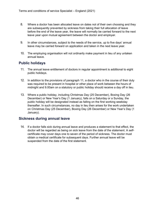- 8. Where a doctor has been allocated leave on dates not of their own choosing and they are subsequently prevented by sickness from taking their full allocation of leave before the end of the leave year, the leave will normally be carried forward to the next leave year upon mutual agreement between the doctor and employer.
- 9. In other circumstances, subject to the needs of the service, up to five days' annual leave may be carried forward on application and taken in the next leave year.
- 10. The employing organisation will not ordinarily make payment in lieu of any untaken annual leave.

#### **Public holidays**

- 11. The annual leave entitlement of doctors in regular appointment is additional to eight public holidays.
- 12. In addition to the provisions of paragraph 11, a doctor who in the course of their duty was required to be present in hospital or other place of work between the hours of midnight and 9.00am on a statutory or public holiday should receive a day off in lieu.
- 13. Where a public holiday, including Christmas Day (25 December), Boxing Day (26 December) or New Year's Day (1 January), falls on a Saturday or a Sunday, the public holiday will be designated instead as falling on the first working weekday thereafter. In such circumstances, no day in lieu then arises for the work undertaken on Christmas Day (25 December), Boxing Day (26 December) or New Year's Day (1 January).

#### **Sickness during annual leave**

14. If a doctor falls sick during annual leave and produces a statement to that effect, the doctor will be regarded as being on sick leave from the date of the statement. A selfcertificate may cover days one to seven of the period of sickness. The doctor must obtain a medical certificate for subsequent days. Further annual leave will be suspended from the date of the first statement.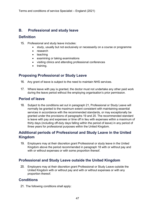#### **B. Professional and study leave**

#### **Definition**

- 15. Professional and study leave includes:
	- study, usually but not exclusively or necessarily on a course or programme
	- research
	- teaching
	- examining or taking examinations
	- visiting clinics and attending professional conferences
	- training.

#### **Proposing Professional or Study Leave**

- 16. Any grant of leave is subject to the need to maintain NHS services.
- 17. Where leave with pay is granted, the doctor must not undertake any other paid work during the leave period without the employing organisation's prior permission.

#### **Period of leave**

18. Subject to the conditions set out in paragraph 21, Professional or Study Leave will normally be granted to the maximum extent consistent with maintaining essential services in accordance with the recommended standards, or may exceptionally be granted under the provisions of paragraphs 19 and 20. The recommended standard is leave with pay and expenses or time off in lieu with expenses within a maximum of thirty days (including off-duty days falling within the period of leave) in any period of three years for professional purposes within the United Kingdom.

#### **Additional periods of Professional and Study Leave in the United Kingdom**

19. Employers may at their discretion grant Professional or study leave in the United Kingdom above the period recommended in paragraph 18 with or without pay and with or without expenses or with some proportion thereof.

#### **Professional and Study Leave outside the United Kingdom**

20. Employers may at their discretion grant Professional or Study Leave outside the United Kingdom with or without pay and with or without expenses or with any proportion thereof.

#### **Conditions**

21. The following conditions shall apply: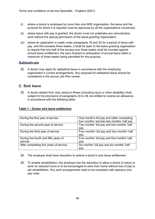- (i) where a doctor is employed by more than one NHS organisation, the leave and the purpose for which it is required must be approved by all the organisations concerned;
- (ii) where leave with pay is granted, the doctor must not undertake any remunerative work without the special permission of the leave-granting organisation;
- (iii) where an application is made under paragraphs 19 and 20 for a period of leave with pay, and this exceeds three weeks, it shall be open to the leave granting organisation to require that one half of the excess over three weeks shall be counted against annual leave entitlement, the carry forward or anticipation of annual leave within a maximum of three weeks being permitted for this purpose.

#### **Sabbaticals**

22. A doctor may apply for sabbatical leave in accordance with the employing organisation's current arrangements. Any proposal for sabbatical leave should be considered in the annual Job Plan review.

#### **C. Sick leave**

23. A doctor absent from duty owing to illness (including injury or other disability) shall, subject to the provisions of paragraphs 24 to 38, be entitled to receive an allowance in accordance with the following table:

#### **Table 1 – Doctor sick leave entitlement**

| During the first year of service       | One month's full pay and (after completing  |
|----------------------------------------|---------------------------------------------|
|                                        | four months' service) two months' half pay. |
| During the second year of service      | Two months' full pay and two months' half   |
|                                        | pay.                                        |
| During the third year of service       | Four months' full pay and four months' half |
|                                        | pay.                                        |
| During the fourth and fifth years of   | Five months' full pay and five months' half |
| service                                | pay.                                        |
| After completing five years of service | Six months' full pay and six months' half   |
|                                        | pay.                                        |

- 24. The employer shall have discretion to extend a doctor's sick leave entitlement.
- 25. To enable rehabilitation, the employer has the discretion to allow a doctor to return to work on reduced hours or to be encouraged to work from home without loss of pay to aid rehabilitation. Any such arrangements need to be consistent with statutory sick pay rules.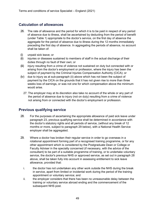#### **Calculation of allowances**

- 26. The rate of allowance and the period for which it is to be paid in respect of any period of absence due to illness, shall be ascertained by deducting from the period of benefit (under Table 1) appropriate to the doctor's service, on the first day of absence the aggregate for the period of absence due to illness during the 12 months immediately preceding the first day of absence. In aggregating the periods of absence, no account shall be taken of:
- (i) unpaid sick leave; or
- (ii) injuries or diseases sustained to members of staff in the actual discharge of their duties through no fault of their own; or
- (iii) injury resulting from a crime of violence not sustained on duty but connected with or arising from the doctor's employment or profession, where the injury has been the subject of payment by the Criminal Injuries Compensation Authority (CICA); or
- (iv) due to injury as at sub-paragraph (ii) above which has not been the subject of payment by the CICA on the grounds that it has not given rise to more than three weeks loss of earnings, or was not one for which compensation above the minimum would arise.
	- 27. The employer may at its discretion also take no account of the whole or any part of the period of absence due to injury (not on duty) resulting from a crime of violence not arising from or connected with the doctor's employment or profession.

#### **Previous qualifying service**

- 28. For the purposes of ascertaining the appropriate allowance of paid sick leave under paragraph 23, previous qualifying service shall be determined in accordance with the doctor's statutory rights and all periods of service, (without any break of 12 months or more, subject to paragraph 29 below), with a National Health Service employer shall be aggregated.
- 29. Where a doctor has broken their regular service in order to go overseas in a rotational appointment forming part of a recognised training programme, or for any other appointment which is considered by the Postgraduate Dean or College or Faculty Adviser in the specialty concerned (if necessary, with the advice of the consultant) to be part of a suitable programme of training, or to undertake voluntary service, the doctor's previous NHS or approved service, as set out in paragraph 28 above, shall be taken fully into account in assessing entitlement to sick leave allowance, provided that:
	- i. the doctor has not undertaken any other work outside the NHS during the break in service, apart from limited or incidental work during the period of the training appointment or voluntary service; and
	- ii. the employer considers that there has been no unreasonable delay between the training or voluntary service abroad ending and the commencement of the subsequent NHS post.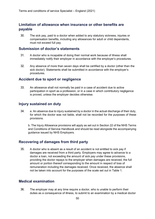#### **Limitation of allowance when insurance or other benefits are payable**

30. The sick pay, paid to a doctor when added to any statutory sickness, injuries or compensation benefits, including any allowances for adult or child dependants, must not exceed full pay.

#### **Submission of doctor's statements**

- 31. A doctor who is incapable of doing their normal work because of illness shall immediately notify their employer in accordance with the employer's procedures.
- 32. Any absence of more than seven days shall be certified by a doctor (other than the sick doctor). Statements shall be submitted in accordance with the employer's procedures.

#### **Accident due to sport or negligence**

33. An allowance shall not normally be paid in a case of accident due to active participation in sport as a profession, or in a case in which contributory negligence is proved, unless the employer decides otherwise.

#### **Injury sustained on duty**

34. a. An absence due to injury sustained by a doctor in the actual discharge of their duty, for which the doctor was not liable, shall not be recorded for the purposes of these provisions.

b. The Injury Allowance provisions will apply as set out in Section 22 of the NHS Terms and Conditions of Service Handbook and should be read alongside the accompanying guidance issued by NHS Employers.

#### **Recovering of damages from third party**

35. A doctor who is absent as a result of an accident is not entitled to sick pay if damages are received from a third party. Employers may agree to advance to a doctor a loan, not exceeding the amount of sick pay under these provisions, providing the doctor repays to the employer when damages are received, the full amount or portion thereof corresponding to the amount in respect of loss of remuneration including the damages received. Once received, the absence shall not be taken into account for the purposes of the scale set out in Table 1.

#### **Medical examination**

36. The employer may at any time require a doctor, who is unable to perform their duties as a consequence of illness, to submit to an examination by a medical doctor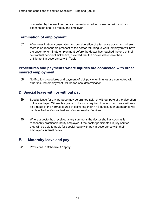nominated by the employer. Any expense incurred in connection with such an examination shall be met by the employer.

#### **Termination of employment**

37. After investigation, consultation and consideration of alternative posts, and where there is no reasonable prospect of the doctor returning to work, employers will have the option to terminate employment before the doctor has reached the end of their contractual period of sick leave, provided that the doctor will receive their entitlement in accordance with Table 1.

#### **Procedures and payments where injuries are connected with other insured employment**

38. Notification procedures and payment of sick pay when injuries are connected with other insured employment, will be for local determination.

#### **D. Special leave with or without pay**

- 39. Special leave for any purpose may be granted (with or without pay) at the discretion of the employer. Where this grade of doctor is required to attend court as a witness, as a result of the normal course of delivering their NHS duties, such attendance will be classified as Contractual and Consequential Services.
- 40. Where a doctor has received a jury summons the doctor shall as soon as is reasonably practicable notify employer. If the doctor participates in jury service, they will be able to apply for special leave with pay in accordance with their employer's internal policy.

#### **E. Maternity leave and pay**

41. Provisions in Schedule 17 apply.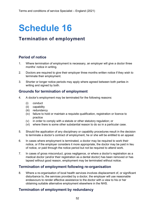### **Termination of employment**

#### **Period of notice**

- 1. Where termination of employment is necessary, an employer will give a doctor three months' notice in writing.
- 2. Doctors are required to give their employer three months written notice if they wish to terminate their employment.
- 3. Shorter or longer notice periods may apply where agreed between both parties in writing and signed by both.

#### **Grounds for termination of employment**

- 4. A doctor's employment may be terminated for the following reasons:
	- (i) conduct
	- (ii) capability
	- (iii) redundancy
	- (iv) failure to hold or maintain a requisite qualification, registration or licence to practice
	- (v) in order to comply with a statute or other statutory regulation; or
	- (vi) where there is some other substantial reason to do so in a particular case.
- 5. Should the application of any disciplinary or capability procedures result in the decision to terminate a doctor's contract of employment, he or she will be entitled to an appeal.
- 6. In cases where employment is terminated, a doctor may be required to work their notice, or if the employer considers it more appropriate, the doctor may be paid in lieu of notice, or paid through the notice period but not be required to attend work.
- 7. In cases of gross misconduct, gross negligence, or where a doctor's registration as a medical doctor (and/or their registration as a dental doctor) has been removed or has lapsed without good reason, employment may be terminated without notice.

#### **Termination of employment following re-organisation**

8. Where a re-organisation of local health services involves displacement of, or significant disturbance to, the services provided by a doctor, the employer will use reasonable endeavours to render effective assistance to the doctor with a view to his or her obtaining suitable alternative employment elsewhere in the NHS.

#### **Termination of employment by redundancy**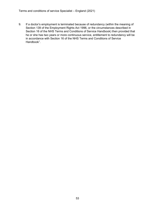9. If a doctor's employment is terminated because of redundancy (within the meaning of Section 139 of the Employment Rights Act 1996, or the circumstances described in Section 16 of the NHS Terms and Conditions of Service Handbook) then provided that he or she has two years or more continuous service, entitlement to redundancy will be in accordance with Section 16 of the NHS Terms and Conditions of Service Handbook<sup>1</sup>.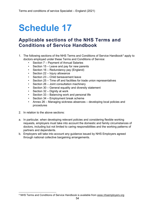### **Applicable sections of the NHS Terms and Conditions of Service Handbook**

- 1. The following sections of the NHS Terms and Conditions of Service Handbook<sup>[4](#page-53-0)</sup> apply to doctors employed under these Terms and Conditions of Service:
	- Section 7 Payment of Annual Salaries
	- Section 15 Leave and pay for new parents
	- Section 16 Redundancy pay (England)
	- Section 22 Injury allowance
	- Section 23 Child bereavement leave
	- Section 25 Time off and facilities for trade union representatives
	- Section 26 Joint consultation machinery
	- Section 30 General equality and diversity statement
	- Section 32 Dignity at work
	- Section 33 Balancing work and personal life
	- Section 34 Employment break scheme
	- Annex 26 Managing sickness absences developing local policies and procedures
- 2. In relation to the above sections:
- a. In particular, when developing relevant policies and considering flexible working requests, employers must take into account the domestic and family circumstances of doctors, including but not limited to caring responsibilities and the working patterns of partners and dependents.
- b. Employers will take into account any guidance issued by NHS Employers agreed through national collective bargaining arrangements.

<span id="page-53-0"></span><sup>4</sup> NHS Terms and Conditions of Service Handbook is available from [www.nhsemployers.org](http://www.nhsemployers.org/)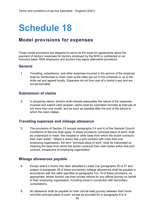### **Model provisions for expenses**

These model provisions are designed to serve as the basis for agreements about the payment of doctors' expenses for doctors employed by the NHS or contracted on an honorary basis. NHS employers and doctors may agree alternative provisions.

#### **General**

1. Travelling, subsistence, and other expenses incurred in the service of the employer shall be reimbursed to meet costs at the rates set out in this schedule or up to the limits set and agreed locally. Expenses do not form part of a doctor's pay and are not pensionable.

#### **Submission of claims**

2. In preparing claims, doctors shall indicate adequately the nature of the expenses involved and submit valid receipts; claims shall be submitted normally at intervals of not more than one month, and as soon as possible after the end of the period to which the claim relates.

#### **Travelling expenses and mileage allowance**

3. The provisions of Section 23 (except paragraphs 2.4 and 4) of the General Council Conditions of Service shall apply. In these provisions "principal place of work" shall be understood to mean "the hospital or other base from which the doctor conducts their main duties". Where a doctor has a joint contract with more than one employing organisation, the term "principal place of work" shall be interpreted as meaning the base from which the doctor conducts their main duties within that joint contract, irrespective of employing organisation.

#### **Mileage allowances payable**

- 4. Except where a doctor has been allocated a Lease Car (paragraphs 25 to 47 and subject to paragraph 28 of these provisions) mileage allowances shall be payable in accordance with the rates specified at paragraphs 9 to 19 of these provisions, as appropriate, where doctors use their private vehicle for any official journey on behalf of their employing organisation, including travel in connection with domiciliary consultations.
- 5. No allowance shall be payable for their normal daily journey between their home and their principal place of work, except as provided for in paragraphs 6 to 8.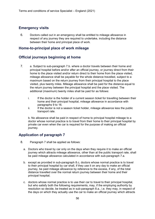#### **Emergency visits**

6. Doctors called out in an emergency shall be entitled to mileage allowance in respect of any journey they are required to undertake, including the distance between their home and principal place of work.

#### **Home-to-principal place of work mileage**

#### **Official journeys beginning at home**

- 7. a. Subject to sub-paragraph 7.b. where a doctor travels between their home and principal hospital before and/or after an official journey, or journey direct from their home to the place visited and/or return direct to their home from the place visited, mileage allowance shall be payable for the whole distance travelled, subject to a maximum based on the return journey from their principal hospital to the place visited, plus twenty miles. Mileage allowance shall be paid for the distance equal to the return journey between the principal hospital and the place visited. The additional (maximum) twenty miles shall be paid for as follows:
	- i. If the doctor is the holder of a current season ticket for travelling between their home and their principal hospital, mileage allowance in accordance with paragraphs 9 to 16.
	- ii. If the doctor is not a season ticket holder, mileage allowance less the public transport rate.

b. No allowance shall be paid in respect of home to principal hospital mileage to a doctor whose normal practice is to travel from their home to their principal hospital by private car even when the car is required for the purpose of making an official journey.

#### **Application of paragraph 7**

- 8. Paragraph 7 shall be applied as follows:
	- a. Doctors who travel by car only on the days when they require it to make an official journey which attracts mileage allowance, other than at the public transport rate, shall be paid mileage allowance calculated in accordance with sub-paragraph 7.a.
	- b. except as provided in sub-paragraph 8.c, doctors whose normal practice is to travel to their principal hospital by car shall, if they use it on any day to make an official journey, be paid mileage allowance by reference to the excess, if any, of the total distance travelled over the normal return journey between their home and their principal hospital;
	- c. doctors whose normal practice is to use their car to travel to their principal hospital, but who satisfy both the following requirements, may, if the employing authority by resolution so decide, be treated as in sub-paragraph 8.a., i.e. they may, in respect of the days on which they actually use the car to make an official journey which attracts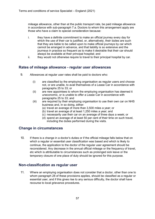mileage allowance, other than at the public transport rate, be paid mileage allowance in accordance with sub-paragraph 7.a. Doctors to whom this arrangement apply are those who have a claim to special consideration because:

- i. they have a definite commitment to make an official journey every day for which the use of their car is justified, or, alternatively, their duties are such that they are liable to be called upon to make official journeys by car which cannot be arranged in advance, and that liability is so extensive and the journeys in practice so frequent as to make it desirable that their car should always be available at their principal hospital; and
- ii. they would not otherwise require to travel to their principal hospital by car.

#### **Rates of mileage allowance - regular user allowances**

- 9. Allowances at regular user rates shall be paid to doctors who:
	- (i) are classified by the employing organisation as regular users and choose not, or are unable, to avail themselves of a Lease Car in accordance with paragraphs 25 to 33; or
	- (ii) are new appointees to whom the employing organisation has deemed it uneconomic, or is unable to offer a Lease Car in accordance with paragraphs 25 to 33; and
	- (iii) are required by their employing organisation to use their own car on NHS business and, in so doing, either:
		- (a) travel an average of more than 3,500 miles a year; or
		- (b) travel an average of at least 1,250 miles a year; and
		- (c) necessarily use their car on an average of three days a week; or
		- (d) spend an average of at least 50 per cent of their time on such travel, including the duties performed during the visits.

#### **Change in circumstances**

10. If there is a change in a doctor's duties or if the official mileage falls below that on which a regular or essential user classification was based and which is likely to continue, the application to the doctor of the regular user agreement should be reconsidered. Any decrease in the annual official mileage or the frequency of travel, etc which is attributable to circumstances such as prolonged sick leave or the temporary closure of one place of duty should be ignored for this purpose.

#### **Non-classification as regular user**

11. Where an employing organisation does not consider that a doctor, other than one to whom paragraph 28 of these provisions applies, should be classified as a regular or essential user, and if this gives rise to any serious difficulty, the doctor shall have recourse to local grievance procedures.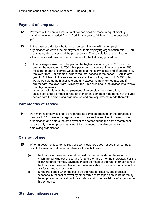#### **Payment of lump sums**

- 12. Payment of the annual lump sum allowance shall be made in equal monthly instalments over a period from 1 April in any year to 31 March in the succeeding year.
- 13. In the case of a doctor who takes up an appointment with an employing organisation or leaves the employment of their employing organisation after 1 April in any year, allowances shall be paid pro rata. The calculation of the mileage allowance should thus be in accordance with the following procedure:
	- (i) The mileage allowance to be paid at the higher rate would, at 9,000 miles per annum, be equivalent to 750 miles per month of service. The excess over 750 miles per month of service would be paid at the intermediate and, if appropriate, the lower rate. For example, where the total service in the period 1 April in any year to 31 March in the succeeding year is five months, then up to 3,750 miles would be paid at the higher rate and any excess at the intermediate, and if appropriate, the lower rate. Similarly, the lump sum should be divided into twelve monthly payments.
	- (ii) When a doctor leaves the employment of an employing organisation, a calculation shall be made in respect of their entitlement for the portion of the year served with the employing organisation and any adjustments made thereafter.

#### **Part months of service**

14. Part months of service shall be regarded as complete months for the purposes of paragraph 12. However, a regular user who leaves the service of one employing organisation and enters the employment of another during the same month shall receive only one lump sum instalment for that month, payable by the former employing organisation.

#### **Cars out of use**

- 15. When a doctor entitled to the regular user allowance does not use their car as a result of a mechanical defect or absence through illness:
	- (i) the lump sum payment should be paid for the remainder of the month in which the car was out of use and for a further three months thereafter. For the following three months, payment should be made at the rate of 50 per cent of the lump sum payment. No further payments should be made if a car is out of use for six months or longer;
	- (ii) during the period when the car is off the road for repairs, out of pocket expenses in respect of travel by other forms of transport should be borne by the employing organisation, in accordance with the provisions of expenses in this schedule.

#### **Standard mileage rates**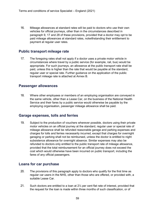16. Mileage allowances at standard rates will be paid to doctors who use their own vehicles for official journeys, other than in the circumstances described in paragraph 9, 17 and 28 of these provisions, provided that a doctor may opt to be paid mileage allowances at standard rates, notwithstanding their entitlement to payment at regular user rates.

#### **Public transport mileage rate**

17. The foregoing rates shall not apply if a doctor uses a private motor vehicle in circumstances where travel by a public service (for example, rail, bus) would be appropriate. For such journeys, an allowance at the public transport rate shall be paid, unless this is higher than the rate that would be payable at the standard, regular user or special rate. Further guidance on the application of the public transport mileage rate is attached at Annex B.

#### **Passenger allowances**

18. Where other employees or members of an employing organisation are conveyed in the same vehicle, other than a Lease Car, on the business of the National Health Service and their fares by a public service would otherwise be payable by the employing organisation, passenger mileage allowance shall be paid.

#### **Garage expenses, tolls and ferries**

19. Subject to the production of vouchers wherever possible, doctors using their private motor vehicles on an official journey at the standard, regular user or special rate of mileage allowance shall be refunded reasonable garage and parking expenses and charges for tolls and ferries necessarily incurred, except that charges for overnight garaging or parking shall not be reimbursed, unless the doctor is entitled to night subsistence allowance for overnight absence. Similar expenses may also be refunded to doctors only entitled to the public transport rate of mileage allowance, provided that the total reimbursement for an official journey does not exceed the cost which would otherwise have been incurred on public transport, including the fares of any official passengers.

#### **Loans for car purchase**

- 20. The provisions of this paragraph apply to doctors who qualify for the first time as regular car users in the NHS, other than those who are offered, or provided with, a suitable Lease Car.
- 21. Such doctors are entitled to a loan at 2½ per cent flat rate of interest, provided that the request for the loan is made within three months of such classification, or of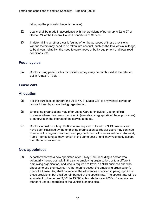taking up the post (whichever is the later).

- 22. Loans shall be made in accordance with the provisions of paragraphs 22 to 27 of Section 24 of the General Council Conditions of Service.
- 23. In determining whether a car is "suitable" for the purposes of these provisions, various factors may need to be taken into account, such as the total official mileage to be driven, reliability, the need to carry heavy or bulky equipment and local road conditions, etc.

#### **Pedal cycles**

24. Doctors using pedal cycles for official journeys may be reimbursed at the rate set out in Annex A, Table 1.

#### **Lease cars**

#### **Allocation**

- 25. For the purposes of paragraphs 26 to 47, a "Lease Car" is any vehicle owned or contract hired by an employing organisation.
- 26. Employing organisations may offer Lease Cars for individual use on official business where they deem it economic (see also paragraph 44 of these provisions) or otherwise in the interest of the service to do so.
- 27. Doctors in post on 9 May 1990 who are required to travel on NHS business and have been classified by the employing organisation as regular users may continue to receive the regular user lump sum payments and allowances set out in Annex A, Table 1 for so long as they remain in the same post or until they voluntarily accept the offer of a Lease Car.

#### **New appointees**

28. A doctor who was a new appointee after 9 May 1990 (including a doctor who voluntarily moves post within the same employing organisation, or to a different employing organisation) and who is required to travel on NHS business and who chooses to use their own car, rather than to accept the employing organisation's offer of a Lease Car, shall not receive the allowances specified in paragraph 27 of these provisions, but shall be reimbursed at the special rate. The special rate will be equivalent to the current 9,001 to 15,000 miles rate for over 2000cc for regular and standard users, regardless of the vehicle's engine size.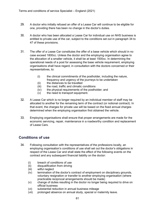- 29. A doctor who initially refused an offer of a Lease Car will continue to be eligible for one, providing there has been no change in the doctor's duties.
- 30. A doctor who has been allocated a Lease Car for individual use on NHS business is entitled to private use of the car, subject to the conditions set out in paragraph 34 to 47 of these provisions.
- 31. The offer of a Lease Car constitutes the offer of a base vehicle which should in no case exceed 1800cc. Unless the doctor and the employing organisation agree to the allocation of a smaller vehicle, it shall be at least 1500cc. In determining the operational needs of a post for assessing the base vehicle requirement, employing organisations shall have regard, in consultation with the doctors concerned or their representatives, to:
	- (i) the clinical commitments of the postholder, including the nature, frequency and urgency of the journeys to be undertaken
	- (ii) the distances to be travelled
	- (iii) the road, traffic and climatic conditions
	- (iv) the physical requirements of the postholder; and
	- (v) the need to transport equipment.
- 32. A Lease Car which is no longer required by an individual member of staff may be allocated to another for the remaining term of the contract (or notional contract). In that event, the charges for private use will be based on the fixed annual charges determined when the employing organisation first obtained the vehicle.
- 33. Employing organisations shall ensure that proper arrangements are made for the economic servicing, repair, maintenance in a roadworthy condition and replacement of Lease Cars.

#### **Conditions of use**

- 34. Following consultation with the representatives of the professions locally, an employing organisation's conditions of use shall set out the doctor's obligations in respect of the Lease Car and shall state the effect of the following events on the contract and any subsequent financial liability on the doctor:
	- (i) breach of conditions of use
	- (ii) disqualification from driving
	- (iii) wilful neglect
	- (iv) termination of the doctor's contract of employment on disciplinary grounds, voluntary resignation or transfer to another employing organisation (where practicable reciprocal arrangements should be made)
	- (v) change of duties resulting in the doctor no longer being required to drive on official business
	- (vi) substantial reduction in annual business mileage
	- (vii) prolonged absence on annual study, special or maternity leave.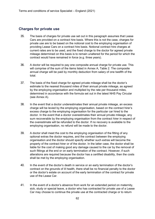#### **Charges for private use**

- 35. The basis of charges for private use set out in this paragraph assumes that Lease Cars are provided on a contract hire basis. Where this is not the case, charges for private use are to be based on the notional cost to the employing organisation of providing Lease Cars on a contract hire basis. Notional contract hire charges at current rates are to be used, and the fixed charge to the doctor for agreed private mileage determined on this basis is to remain unaltered for the period for which the contract would have remained in force (e.g. three years).
- 36. A doctor will be required to pay one composite annual charge for private use. This will comprise of the sum of the items listed in Annex A, Table 2. The composite annual charge will be paid by monthly deduction from salary of one twelfth of the total.
- 37. The basis of the fixed charge for agreed private mileage shall be the doctor's estimate to the nearest thousand miles of their annual private mileage, as agreed by the employing organisation and multiplied by the rate per thousand miles, determined in accordance with the formula set out in the latest NHS Pay Circular (see Annex A).
- 38. In the event that a doctor underestimates their annual private mileage, an excess charge will be levied by the employing organisation, based on the contract hirer's excess charge to the employing organisation for the particular car hired to the doctor. In the event that a doctor overestimates their annual private mileage, any sum recoverable by the employing organisation from the contract hirer in respect of the overestimate will be refunded to the doctor. If no recovery is available to the employing organisation, no refund will be made to the doctor.
- 39. A doctor shall meet the cost to the employing organisation of the fitting of any optional extras the doctor requires, and the contract between the employing organisation and the doctor should specify whether such extras will become the property of the contract hirer or of the doctor. In the latter case, the doctor shall be liable for the cost of making good any damage caused to the car by the removal of such fittings at the end or on early termination of the contract. However, if such alterations are required because the doctor has a certified disability, then the costs shall be met by the employing organisation.
- 40. In the event of the doctor's death in service or an early termination of the doctor's contract on the grounds of ill health, there shall be no financial penalty to the doctor or the doctor's estate on account of the early termination of the contract for private use of the Lease Car.
- 41. In the event of a doctor's absence from work for an extended period on maternity, sick, study or special leave, a doctor who has contracted for private use of a Lease Car may choose to continue the private use at the contracted charge or to return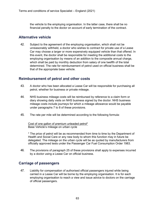the vehicle to the employing organisation. In the latter case, there shall be no financial penalty to the doctor on account of early termination of the contract.

#### **Alternative vehicle**

42. Subject to the agreement of the employing organisation, which shall not be unreasonably withheld, a doctor who wishes to contract for private use of a Lease Car may choose a larger or more expensively equipped vehicle than that offered. In this event, the doctor shall be responsible for meeting the additional costs to the employing organisation by means of an addition to the composite annual charge, which shall be paid by monthly deduction from salary of one twelfth of the total determined. The rate for reimbursement of petrol used on official business shall be that of the appropriate base vehicle.

#### **Reimbursement of petrol and other costs**

- 43. A doctor who has been allocated a Lease Car will be responsible for purchasing all petrol, whether for business or private mileage.
- 44. NHS business mileage costs will be reimbursed by reference to a claim form or diary showing daily visits on NHS business signed by the doctor. NHS business mileage costs include journeys for which a mileage allowance would be payable under paragraphs 7 to 8 of these provisions.
- 45. The rate per mile will be determined according to the following formula:

Cost of one gallon of premium unleaded petrol\* Base Vehicle's mileage on urban cycle

\* The price of petrol will be as recommended from time to time by the Department of Health and Social Care or any new body to whom this function may in future be delegated. The mileage on the urban cycle will be as quoted by manufacturers from officially approved tests under the Passenger Car Fuel Consumption Order 1983.

46. The provisions of paragraph 25 of these provisions shall apply to expenses incurred by a doctor using a Lease Car on official business.

#### **Carriage of passengers**

47. Liability for compensation of authorised official passengers injured while being carried in a Lease Car will be borne by the employing organisation. It is for each employing organisation to reach a view and issue advice to doctors on the carriage of official passengers.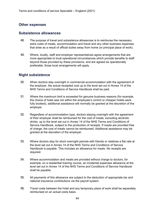#### **Other expenses**

#### **Subsistence allowances**

- 48. The purpose of travel and subsistence allowances is to reimburse the necessary extra costs of meals, accommodation and travel and any other business expenses that arise as a result of official duties away from home (or principal place of work).
- 49. Where, locally, staff and employer representatives agree arrangements that are more appropriate to local operational circumstances which provide benefits to staff beyond those provided by these provisions, and are agreed as operationally preferable, those local arrangements will apply.

#### **Night subsistence**

- 50. When doctors stay overnight in commercial accommodation with the agreement of the employer, the actual receipted cost up to the level set out in Annex 14 of the NHS Terms and Conditions of Service Handbook shall be paid.
- 51. Where the maximum limit is exceeded for genuine business reasons (for example, the choice of hotel was not within the employee's control or cheaper hotels were fully booked), additional assistance will normally be granted at the discretion of the employer.
- 52. Regardless of accommodation type, doctors staying overnight with the agreement of their employer shall be reimbursed for the cost of meals, excluding alcoholic drinks, up to the level set out in Annex 14 of the NHS Terms and Conditions of Service Handbook, subject to the production of receipts. If meals are provided free of charge, the cost of meals cannot be reimbursed. Additional assistance may be granted at the discretion of the employer.
- 53. Where doctors stay for short overnight periods with friends or relatives a flat rate at the level set out in Annex 14 of the NHS Terms and Conditions of Service Handbook is payable. This includes an allowance for meals. No receipts are required.
- 54. Where accommodation and meals are provided without charge to doctors, for example, on a residential training course, an incidental expenses allowance at the level set out in Annex 14 of the NHS Terms and Conditions of Service Handbook shall be payable.
- 55. All payments of this allowance are subject to the deduction of appropriate tax and national insurance contributions via the payroll system.
- 56. Travel costs between the hotel and any temporary place of work shall be separately reimbursed on an actual costs basis.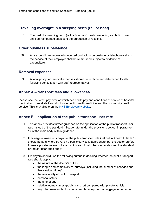#### **Travelling overnight in a sleeping berth (rail or boat)**

57. The cost of a sleeping berth (rail or boat) and meals, excluding alcoholic drinks, shall be reimbursed subject to the production of receipts.

#### **Other business subsistence**

58. Any expenditure necessarily incurred by doctors on postage or telephone calls in the service of their employer shall be reimbursed subject to evidence of expenditure.

#### **Removal expenses**

59. A local policy for removal expenses should be in place and determined locally following consultation with staff representatives.

#### **Annex A – transport fees and allowances**

Please see the latest pay circular which deals with pay and conditions of service of hospital medical and dental staff and doctors in public health medicine and the community health service. This is available on the [NHS Employers website.](http://www.nhsemployers.org/)

#### **Annex B – application of the public transport user rate**

- 1. This annex provides further guidance on the application of the public transport user rate instead of the standard mileage rate, under the provisions set out in paragraph 17 of the main body of this guidance.
- 2. If mileage allowance is payable, the public transport rate (set out in Annex A, table 1) should be paid where travel by a public service is appropriate, but the doctor prefers to use a private means of transport instead. In all other circumstances, the standard or regular user rates apply.
- 3. Employers should use the following criteria in deciding whether the public transport rate should apply:
	- the nature of the doctor's duties
	- the length and complexity of journeys (including the number of changes and likely waiting times)
	- the availability of public transport
	- personal safety
	- the time of day
	- relative journey times (public transport compared with private vehicle)
	- any other relevant factors, for example, equipment or luggage to be carried.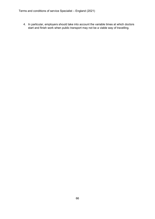4. In particular, employers should take into account the variable times at which doctors start and finish work when public transport may not be a viable way of travelling.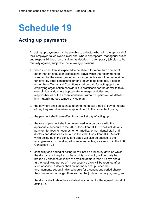### **Acting up payments**

- 1. An acting-up payment shall be payable to a doctor who, with the approval of their employer, takes over clinical and, where appropriate, managerial duties and responsibilities of a consultant as detailed in a temporary job plan to be mutually agreed, subject to the following provisions:
	- a. when a consultant is expected to be absent for more than one month other than on annual or professional leave within the recommended standard for the senior grade, and arrangements cannot be made either for cover by other consultants or for a locum to be engaged, a doctor under these Terms and Conditions shall be paid for acting-up if the employing organisation considers it is practicable for the doctor to take over clinical and, where appropriate, managerial duties and responsibilities of the absent consultant without supervision as detailed in a mutually agreed temporary job plan;
	- b. the payment shall be such as to bring the doctor's rate of pay to the rate of pay they would receive on appointment to the consultant grade;
	- c. the payment shall have effect from the first day of acting up
	- d. the rate of payment shall be determined in accordance with the appropriate schedule in the 2003 Consultant TCS. It shall include any payment for fees for lectures to non-medical or non-dental staff and doctors and dentists as set out in the 2003 Consultant TCS. A doctor while acting up in the consultant grade will also be entitled to the arrangements on travelling allowance and mileage as set out in the 2003 Consultant TCS;
	- e. continuity of a period of acting-up will not be broken by days on which the doctor is not required to be on duty; continuity will normally be broken by absence on leave of any kind of more than 14 days and a further qualifying period of 14 consecutive days will be required after such absence. A doctor shall not normally act up under the arrangements set out in this schedule for a continuous period shorter than one month or longer than six months [unless mutually agreed]; and
	- f. the doctor shall retain their substantive contract for the agreed period of acting up.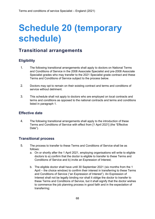# **Schedule 20 (temporary schedule)**

### **Transitional arrangements**

#### **Eligibility**

- 1. The following transitional arrangements shall apply to doctors on National Terms and Conditions of Service in the 2008 Associate Specialist and pre-2008 Associate Specialist grades who may transfer to the 2021 Specialist grade contract and these Terms and Conditions of Service subject to the process below.
- 2. Doctors may opt to remain on their existing contract and terms and conditions of service without detriment.
- 3. This schedule shall not apply to doctors who are employed on local contracts and terms and conditions as opposed to the national contracts and terms and conditions listed in paragraph 1.

#### **Effective date**

4. The following transitional arrangements shall apply to the introduction of these Terms and Conditions of Service with effect from [1 April 2021] (the "Effective Date").

#### **Transitional process**

- 5. The process to transfer to these Terms and Conditions of Service shall be as follows:
	- a. On or shortly after the 1 April 2021, employing organisations will write to eligible doctors to a) confirm that the doctor is eligible to transfer to these Terms and Conditions of Service and b) invite an Expression of Interest;
	- b. The eligible doctor shall have until 30 September 2021 (six months from the 1 April – the choice window) to confirm their interest in transferring to these Terms and Conditions of Service ("an Expression of Interest"). An Expression of Interest shall not be legally binding nor shall it oblige the doctor to transfer to these Terms and Conditions of Service, but it shall signify that the doctor wishes to commence the job planning process in good faith and in the expectation of transferring;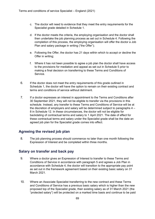- c. The doctor will need to evidence that they meet the entry requirements for the Specialist grade detailed in Schedule 1.
- d. If the doctor meets the criteria, the employing organisation and the doctor shall then undertake the job planning process as set out in Schedule 4. Following the completion of this process, the employing organisation will offer the doctor a Job Plan and salary package in writing ("the Offer");
- e. Following the Offer, the doctor has 21 days within which to accept or decline the Offer in writing;
- f. Where it has not been possible to agree a job plan the doctor shall have access to the provisions for mediation and appeal as set out in Schedule 5 prior to making a final decision on transferring to these Terms and Conditions of Service.
- 6. If the doctor does not meet the entry requirements of this grade outlined in Schedule 1, the doctor will have the option to remain on their existing contract and terms and conditions of service without detriment.
- 7. If a doctor expresses an interest in appointment to the Terms and Conditions after 30 September 2021, they will not be eligible to transfer via the provisions in this schedule. Instead, any transfer to these Terms and Conditions of Service will be at the discretion of employers and salary will be determined subject to paragraphs 4 – 8 in Schedule 12. In these circumstances, the doctor will not be eligible for backdating of contractual terms and salary to 1 April 2021. The date of effect for these contractual terms and salary under the Specialist grade shall be the date an agreed job plan for the Specialist grade comes into effect.

#### **Agreeing the revised job plan**

8. The job planning process should commence no later than one month following the Expression of Interest and be completed within three months.

#### **Salary on transfer and back pay**

- 9. Where a doctor gives an Expression of Interest to transfer to these Terms and Conditions of Service in accordance with paragraph 5 and agrees a Job Plan in accordance with Schedule 4, the doctor will transition to the appropriate pay point as set out in the framework agreement based on their existing basic salary on 31 March 2021.
- 10. Where an Associate Specialist transferring to the new contract and these Terms and Conditions of Service has a previous basic salary which is higher than the new proposed top of the Specialist grade, their existing salary as of 31 March 2021 (the "protected salary") will be protected on a marked time basis and continue to be paid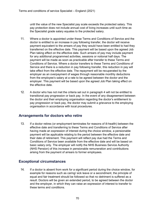until the value of the new Specialist pay scale exceeds the protected salary. This pay protection does not include annual cost of living increases until such time as the Specialist grade salary equates to the protected salary.

- 11. Where a doctor is appointed under these Terms and Conditions of Service and the doctor is entitled to an increase in pay following transfer, the doctor will receive payment equivalent to the arrears of pay they would have been entitled to had they transferred on the effective date. This payment will be based upon the agreed Job Plan taking effect on the effective date. Such arrears of pay may include payment for any additional programmed activities, sessions or notional half days. The payment will be made as soon as practicable after transfer to these Terms and Conditions of Service. Where a doctor transfers to these Terms and Conditions of Service and there is a reduction in pay following transfer, this reduction in pay will take effect from the effective date. The repayment will be recuperated by the employer as an overpayment of wages through reasonable monthly deductions from the employee's salary at a rate to be agreed between the doctor and the employer. This payment will be based upon the agreed Job Plan taking effect on the effective date.
- 12. A doctor who has not met the criteria set out in paragraph 4 will not be entitled to transitional pay progression or back pay. In the event of any disagreement between the doctor and their employing organisation regarding the doctor's entitlement to pay progression or back pay, the doctor may submit a grievance to the employing organisation in accordance with local procedures.

#### **Arrangements for doctors who retire**

13. If a doctor retires (or employment terminates for reasons of ill-health) between the effective date and transferring to these Terms and Conditions of Service after having made an expression of interest during the choice window, a pensionable payment will be applicable relating to the period between the effective date and their date of retirement. This payment will reflect pay due had the Terms and Conditions of Service been available from the effective date and will be based on basic salary only. The employer will notify the NHS Business Service Authority (NHS Pension) of this increase in pensionable remuneration and contributions arising from the payment of arrears to former employees.

#### **Exceptional circumstances**

14. If a doctor is absent from work for a significant period during the choice window, for example for reasons such as caring/ sick leave or a secondment, the principle of equal and fair treatment should be followed so that no detriment is suffered as a result. Doctors will be given an extended period, to be agreed between the doctor and the employer, in which they can raise an expression of interest to transfer to these terms and conditions.